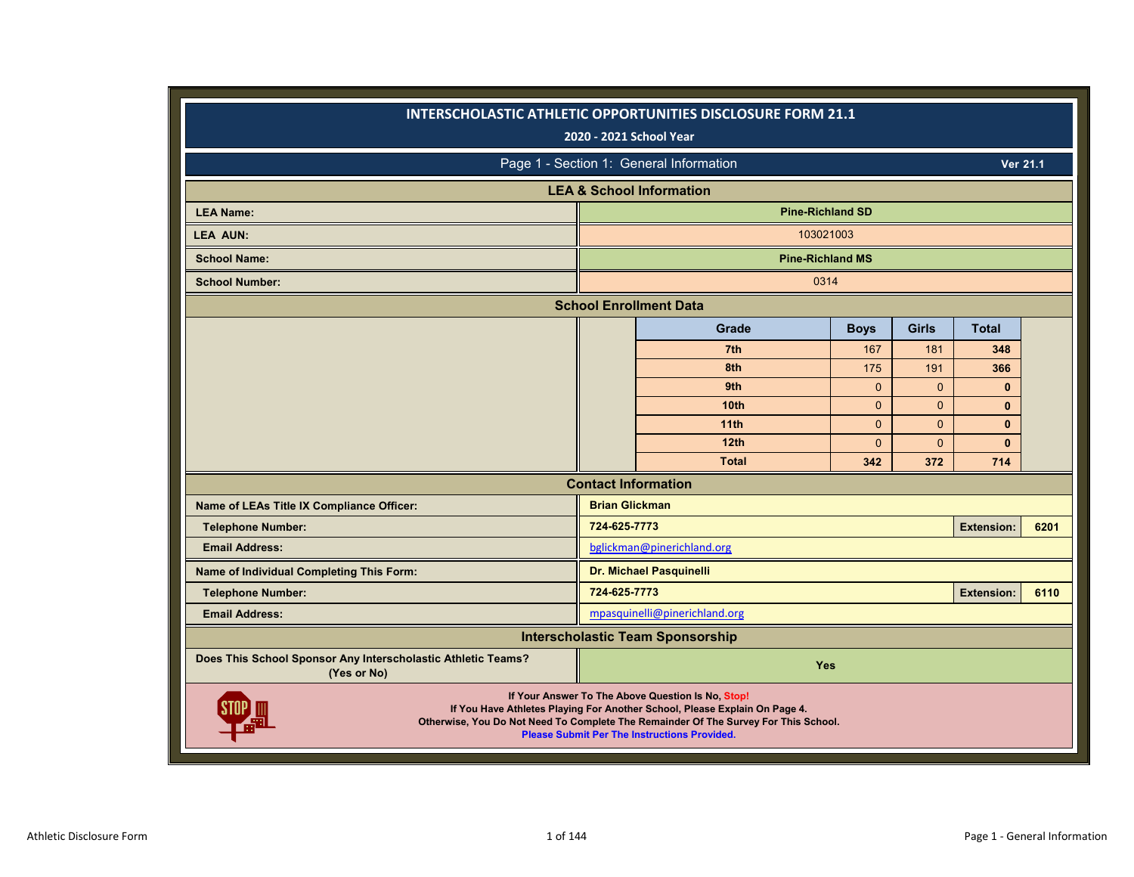|                                                                             |                       | INTERSCHOLASTIC ATHLETIC OPPORTUNITIES DISCLOSURE FORM 21.1<br>2020 - 2021 School Year                                                                                                                                                                                        |              |              |                   |      |
|-----------------------------------------------------------------------------|-----------------------|-------------------------------------------------------------------------------------------------------------------------------------------------------------------------------------------------------------------------------------------------------------------------------|--------------|--------------|-------------------|------|
|                                                                             |                       | Page 1 - Section 1: General Information                                                                                                                                                                                                                                       |              |              | Ver 21.1          |      |
|                                                                             |                       | <b>LEA &amp; School Information</b>                                                                                                                                                                                                                                           |              |              |                   |      |
| <b>LEA Name:</b>                                                            |                       | <b>Pine-Richland SD</b>                                                                                                                                                                                                                                                       |              |              |                   |      |
| <b>LEA AUN:</b>                                                             |                       | 103021003                                                                                                                                                                                                                                                                     |              |              |                   |      |
| <b>School Name:</b>                                                         |                       | <b>Pine-Richland MS</b>                                                                                                                                                                                                                                                       |              |              |                   |      |
| <b>School Number:</b>                                                       |                       | 0314                                                                                                                                                                                                                                                                          |              |              |                   |      |
|                                                                             |                       | <b>School Enrollment Data</b>                                                                                                                                                                                                                                                 |              |              |                   |      |
|                                                                             |                       | Grade                                                                                                                                                                                                                                                                         | <b>Boys</b>  | <b>Girls</b> | <b>Total</b>      |      |
|                                                                             |                       | 7th                                                                                                                                                                                                                                                                           | 167          | 181          | 348               |      |
|                                                                             |                       | 8th                                                                                                                                                                                                                                                                           | 175          | 191          | 366               |      |
|                                                                             |                       | 9th                                                                                                                                                                                                                                                                           | $\mathbf{0}$ | $\mathbf{0}$ | $\bf{0}$          |      |
|                                                                             |                       | 10 <sub>th</sub>                                                                                                                                                                                                                                                              | $\Omega$     | $\Omega$     | $\mathbf{0}$      |      |
|                                                                             |                       | 11 <sub>th</sub>                                                                                                                                                                                                                                                              | $\mathbf{0}$ | $\Omega$     | $\mathbf{0}$      |      |
|                                                                             |                       | 12 <sub>th</sub>                                                                                                                                                                                                                                                              | $\mathbf{0}$ | $\Omega$     | $\mathbf{0}$      |      |
|                                                                             |                       | <b>Total</b>                                                                                                                                                                                                                                                                  | 342          | 372          | 714               |      |
|                                                                             |                       | <b>Contact Information</b>                                                                                                                                                                                                                                                    |              |              |                   |      |
| Name of LEAs Title IX Compliance Officer:                                   | <b>Brian Glickman</b> |                                                                                                                                                                                                                                                                               |              |              |                   |      |
| <b>Telephone Number:</b>                                                    | 724-625-7773          |                                                                                                                                                                                                                                                                               |              |              | <b>Extension:</b> | 6201 |
| <b>Email Address:</b>                                                       |                       | bglickman@pinerichland.org                                                                                                                                                                                                                                                    |              |              |                   |      |
| Name of Individual Completing This Form:                                    |                       | Dr. Michael Pasquinelli                                                                                                                                                                                                                                                       |              |              |                   |      |
| <b>Telephone Number:</b>                                                    | 724-625-7773          |                                                                                                                                                                                                                                                                               |              |              | <b>Extension:</b> | 6110 |
| <b>Email Address:</b>                                                       |                       | mpasquinelli@pinerichland.org                                                                                                                                                                                                                                                 |              |              |                   |      |
|                                                                             |                       | <b>Interscholastic Team Sponsorship</b>                                                                                                                                                                                                                                       |              |              |                   |      |
| Does This School Sponsor Any Interscholastic Athletic Teams?<br>(Yes or No) |                       | Yes                                                                                                                                                                                                                                                                           |              |              |                   |      |
|                                                                             |                       | If Your Answer To The Above Question Is No, Stop!<br>If You Have Athletes Playing For Another School, Please Explain On Page 4.<br>Otherwise, You Do Not Need To Complete The Remainder Of The Survey For This School.<br><b>Please Submit Per The Instructions Provided.</b> |              |              |                   |      |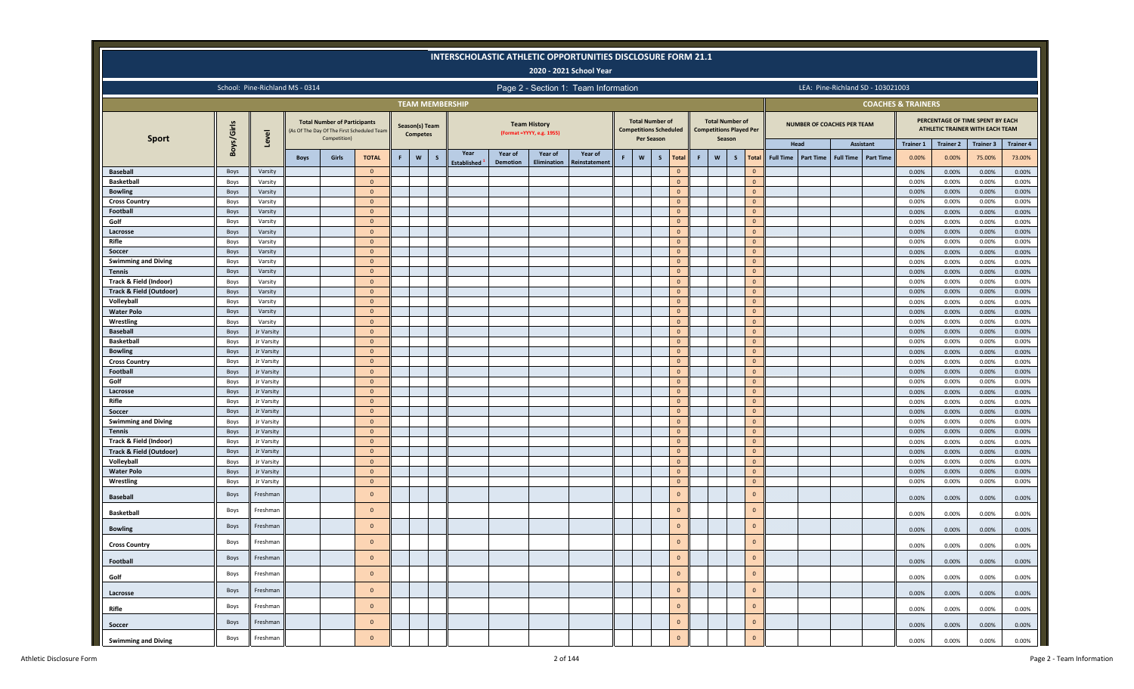|                                                              |              |                          |                                 |                                                     |                                           |   |                                   |              |                        |          |                                                   | <b>INTERSCHOLASTIC ATHLETIC OPPORTUNITIES DISCLOSURE FORM 21.1</b> |   |                                                                                                            |                                |                                 |                                  |                              |                  |           |                                   |                                   |                               |                  |                                                                     |                  |
|--------------------------------------------------------------|--------------|--------------------------|---------------------------------|-----------------------------------------------------|-------------------------------------------|---|-----------------------------------|--------------|------------------------|----------|---------------------------------------------------|--------------------------------------------------------------------|---|------------------------------------------------------------------------------------------------------------|--------------------------------|---------------------------------|----------------------------------|------------------------------|------------------|-----------|-----------------------------------|-----------------------------------|-------------------------------|------------------|---------------------------------------------------------------------|------------------|
|                                                              |              |                          |                                 |                                                     |                                           |   |                                   |              |                        |          |                                                   | 2020 - 2021 School Year                                            |   |                                                                                                            |                                |                                 |                                  |                              |                  |           |                                   |                                   |                               |                  |                                                                     |                  |
|                                                              |              |                          | School: Pine-Richland MS - 0314 |                                                     |                                           |   |                                   |              |                        |          |                                                   | Page 2 - Section 1: Team Information                               |   |                                                                                                            |                                |                                 |                                  |                              |                  |           |                                   | LEA: Pine-Richland SD - 103021003 |                               |                  |                                                                     |                  |
|                                                              |              |                          |                                 |                                                     |                                           |   |                                   |              | <b>TEAM MEMBERSHIP</b> |          |                                                   |                                                                    |   |                                                                                                            |                                |                                 |                                  |                              |                  |           |                                   |                                   | <b>COACHES &amp; TRAINERS</b> |                  |                                                                     |                  |
| <b>Sport</b>                                                 | Boys/Girls   | Level                    |                                 | <b>Total Number of Participants</b><br>Competition) | As Of The Day Of The First Scheduled Team |   | Season(s) Team<br><b>Competes</b> |              |                        |          | <b>Team History</b><br>(Format = YYYY, e.g. 1955) |                                                                    |   | <b>Total Number of</b><br>Per Season                                                                       | <b>Competitions Scheduled</b>  | <b>Competitions Played Per</b>  | <b>Total Number of</b><br>Season |                              |                  |           | <b>NUMBER OF COACHES PER TEAM</b> |                                   |                               |                  | PERCENTAGE OF TIME SPENT BY EACH<br>ATHLETIC TRAINER WITH EACH TEAM |                  |
|                                                              |              |                          |                                 |                                                     |                                           |   |                                   |              | Year                   | Year of  | Year of                                           | Year of                                                            |   |                                                                                                            |                                |                                 |                                  |                              |                  | Head      |                                   | Assistant                         | <b>Trainer 1</b>              | <b>Trainer 2</b> | <b>Trainer 3</b>                                                    | <b>Trainer 4</b> |
|                                                              |              |                          | <b>Boys</b>                     | Girls                                               | <b>TOTAL</b>                              | F | $\mathsf{w}$                      | $\mathsf{s}$ | <b>Established</b>     | Demotion | Elimination                                       | <b>Reinstatement</b>                                               | F | $\mathsf{W}% _{T}=\mathsf{W}_{T}\!\left( a,b\right) ,\ \mathsf{W}_{T}=\mathsf{W}_{T}\!\left( a,b\right) ,$ | $\mathsf{s}$<br><b>Total</b>   | $\boldsymbol{\mathsf{w}}$<br>F. | $\mathsf{s}$                     | Total                        | <b>Full Time</b> | Part Time | <b>Full Time</b>                  | <b>Part Time</b>                  | 0.00%                         | 0.00%            | 75.00%                                                              | 73.00%           |
| <b>Baseball</b>                                              | Boys         | Varsity                  |                                 |                                                     | $\overline{0}$                            |   |                                   |              |                        |          |                                                   |                                                                    |   |                                                                                                            | $\Omega$                       |                                 |                                  |                              |                  |           |                                   |                                   | 0.00%                         | 0.00%            | 0.00%                                                               | 0.00%            |
| <b>Basketball</b>                                            | Boys<br>Boys | Varsity<br>Varsity       |                                 |                                                     | $\overline{0}$<br>$\overline{0}$          |   |                                   |              |                        |          |                                                   |                                                                    |   |                                                                                                            | $\overline{0}$<br>$\mathbf{0}$ |                                 |                                  | $\mathbf{0}$<br>$\Omega$     |                  |           |                                   |                                   | 0.00%<br>0.00%                | 0.00%<br>0.00%   | 0.00%<br>0.00%                                                      | 0.00%<br>0.00%   |
| <b>Bowling</b><br><b>Cross Country</b>                       | Boys         | Varsity                  |                                 |                                                     | $\overline{0}$                            |   |                                   |              |                        |          |                                                   |                                                                    |   |                                                                                                            | $\overline{0}$                 |                                 |                                  | $\mathbf{0}$                 |                  |           |                                   |                                   | 0.00%                         | 0.00%            | 0.00%                                                               | 0.00%            |
| Football                                                     | Boys         | Varsity                  |                                 |                                                     | $\overline{0}$                            |   |                                   |              |                        |          |                                                   |                                                                    |   |                                                                                                            | $\Omega$                       |                                 |                                  | $\Omega$                     |                  |           |                                   |                                   | 0.00%                         | 0.00%            | 0.00%                                                               | 0.00%            |
| Golf                                                         | Boys         | Varsity                  |                                 |                                                     | $\overline{0}$                            |   |                                   |              |                        |          |                                                   |                                                                    |   |                                                                                                            | $\mathbf{0}$                   |                                 |                                  | $\mathbf{0}$                 |                  |           |                                   |                                   | 0.00%                         | 0.00%            | 0.00%                                                               | 0.00%            |
| Lacrosse                                                     | Boys         | Varsity                  |                                 |                                                     | $\overline{0}$                            |   |                                   |              |                        |          |                                                   |                                                                    |   |                                                                                                            | $\overline{0}$                 |                                 |                                  | $\mathbf{0}$                 |                  |           |                                   |                                   | 0.00%                         | 0.00%            | 0.00%                                                               | 0.00%            |
| Rifle                                                        | Boys         | Varsity                  |                                 |                                                     | $\overline{0}$                            |   |                                   |              |                        |          |                                                   |                                                                    |   |                                                                                                            | $\mathbf{0}$                   |                                 |                                  | $\mathbf{0}$                 |                  |           |                                   |                                   | 0.00%                         | 0.00%            | 0.00%                                                               | 0.00%            |
| Soccer                                                       | Boys         | Varsity                  |                                 |                                                     | $\overline{0}$                            |   |                                   |              |                        |          |                                                   |                                                                    |   |                                                                                                            | $\overline{0}$                 |                                 |                                  | $\mathbf{0}$                 |                  |           |                                   |                                   | 0.00%                         | 0.00%            | 0.00%                                                               | 0.00%            |
| <b>Swimming and Diving</b>                                   | Boys         | Varsity                  |                                 |                                                     | $\overline{0}$                            |   |                                   |              |                        |          |                                                   |                                                                    |   |                                                                                                            | $\overline{0}$                 |                                 |                                  | $\mathbf{0}$                 |                  |           |                                   |                                   | 0.00%                         | 0.00%            | 0.00%                                                               | 0.00%            |
| <b>Tennis</b>                                                | Boys         | Varsity                  |                                 |                                                     | $\overline{0}$                            |   |                                   |              |                        |          |                                                   |                                                                    |   |                                                                                                            | $\overline{0}$                 |                                 |                                  | $\mathbf{0}$                 |                  |           |                                   |                                   | 0.00%                         | 0.00%            | 0.00%                                                               | 0.00%            |
| Track & Field (Indoor)<br><b>Track &amp; Field (Outdoor)</b> | Boys         | Varsity                  |                                 |                                                     | $\overline{0}$<br>$\mathbf{0}$            |   |                                   |              |                        |          |                                                   |                                                                    |   |                                                                                                            | $\overline{0}$<br>$\mathbf{0}$ |                                 |                                  | $\mathbf{0}$<br>$\mathbf{0}$ |                  |           |                                   |                                   | 0.00%                         | 0.00%            | 0.00%                                                               | 0.00%            |
| Volleyball                                                   | Boys<br>Boys | Varsity<br>Varsity       |                                 |                                                     | $\overline{0}$                            |   |                                   |              |                        |          |                                                   |                                                                    |   |                                                                                                            | $\overline{0}$                 |                                 |                                  | $\mathbf{0}$                 |                  |           |                                   |                                   | 0.00%<br>0.00%                | 0.00%<br>0.00%   | 0.00%<br>0.00%                                                      | 0.00%<br>0.00%   |
| <b>Water Polo</b>                                            | Boys         | Varsity                  |                                 |                                                     | $\overline{0}$                            |   |                                   |              |                        |          |                                                   |                                                                    |   |                                                                                                            | $\overline{0}$                 |                                 |                                  | $\mathbf{0}$                 |                  |           |                                   |                                   | 0.00%                         | 0.00%            | 0.00%                                                               | 0.00%            |
| Wrestling                                                    | Boys         | Varsity                  |                                 |                                                     | $\overline{0}$                            |   |                                   |              |                        |          |                                                   |                                                                    |   |                                                                                                            | $\overline{0}$                 |                                 |                                  | $\mathbf{0}$                 |                  |           |                                   |                                   | 0.00%                         | 0.00%            | 0.00%                                                               | 0.00%            |
| <b>Baseball</b>                                              | Boys         | Jr Varsity               |                                 |                                                     | $\overline{0}$                            |   |                                   |              |                        |          |                                                   |                                                                    |   |                                                                                                            | $\Omega$                       |                                 |                                  | $\mathbf{0}$                 |                  |           |                                   |                                   | 0.00%                         | 0.00%            | 0.00%                                                               | 0.00%            |
| <b>Basketball</b>                                            | Boys         | Jr Varsity               |                                 |                                                     | $\overline{0}$                            |   |                                   |              |                        |          |                                                   |                                                                    |   |                                                                                                            | $\mathbf{0}$                   |                                 |                                  | $\mathbf{0}$                 |                  |           |                                   |                                   | 0.00%                         | 0.00%            | 0.00%                                                               | $0.00\%$         |
| <b>Bowling</b>                                               | Boys         | Jr Varsity               |                                 |                                                     | $\overline{0}$                            |   |                                   |              |                        |          |                                                   |                                                                    |   |                                                                                                            | $\mathbf{0}$                   |                                 |                                  | $\Omega$                     |                  |           |                                   |                                   | 0.00%                         | 0.00%            | 0.00%                                                               | 0.00%            |
| <b>Cross Country</b>                                         | Boys         | Jr Varsity               |                                 |                                                     | $\overline{0}$                            |   |                                   |              |                        |          |                                                   |                                                                    |   |                                                                                                            | $\mathbf{0}$                   |                                 |                                  | $\Omega$                     |                  |           |                                   |                                   | 0.00%                         | 0.00%            | 0.00%                                                               | 0.00%            |
| Football                                                     | Boys         | Jr Varsity               |                                 |                                                     | $\overline{0}$                            |   |                                   |              |                        |          |                                                   |                                                                    |   |                                                                                                            | $\mathbf{0}$                   |                                 |                                  | $\mathbf{0}$                 |                  |           |                                   |                                   | 0.00%                         | 0.00%            | 0.00%                                                               | 0.00%            |
| Golf                                                         | Boys         | Jr Varsity               |                                 |                                                     | $\overline{0}$                            |   |                                   |              |                        |          |                                                   |                                                                    |   |                                                                                                            | $\mathbf{0}$                   |                                 |                                  | $\Omega$                     |                  |           |                                   |                                   | 0.00%                         | 0.00%            | 0.00%                                                               | 0.00%            |
| Lacrosse                                                     | Boys         | Jr Varsity               |                                 |                                                     | $\overline{0}$                            |   |                                   |              |                        |          |                                                   |                                                                    |   |                                                                                                            | $\mathbf{0}$                   |                                 |                                  | $\mathbf{0}$                 |                  |           |                                   |                                   | 0.00%                         | 0.00%            | 0.00%                                                               | 0.00%            |
| Rifle                                                        | Boys         | Jr Varsity               |                                 |                                                     | $\overline{0}$                            |   |                                   |              |                        |          |                                                   |                                                                    |   |                                                                                                            | $\circ$                        |                                 |                                  | $\mathbf{0}$                 |                  |           |                                   |                                   | 0.00%                         | 0.00%            | 0.00%                                                               | 0.00%            |
| Soccer<br><b>Swimming and Diving</b>                         | Boys         | Jr Varsity               |                                 |                                                     | $\overline{0}$<br>$\overline{0}$          |   |                                   |              |                        |          |                                                   |                                                                    |   |                                                                                                            | $\circ$<br>$\mathbf{0}$        |                                 |                                  | $\mathbf{0}$<br>$\mathbf{0}$ |                  |           |                                   |                                   | 0.00%                         | 0.00%            | 0.00%                                                               | 0.00%            |
| <b>Tennis</b>                                                | Boys<br>Boys | Jr Varsity<br>Jr Varsity |                                 |                                                     | $\overline{0}$                            |   |                                   |              |                        |          |                                                   |                                                                    |   |                                                                                                            | $\circ$                        |                                 |                                  | $\mathbf{0}$                 |                  |           |                                   |                                   | 0.00%<br>0.00%                | 0.00%<br>0.00%   | 0.00%<br>0.00%                                                      | 0.00%<br>0.00%   |
| Track & Field (Indoor)                                       | Boys         | Jr Varsity               |                                 |                                                     | $\overline{0}$                            |   |                                   |              |                        |          |                                                   |                                                                    |   |                                                                                                            | $\mathbf{0}$                   |                                 |                                  | $\mathbf{0}$                 |                  |           |                                   |                                   | 0.00%                         | 0.00%            | 0.00%                                                               | 0.00%            |
| Track & Field (Outdoor)                                      | Boys         | Jr Varsity               |                                 |                                                     | $\overline{0}$                            |   |                                   |              |                        |          |                                                   |                                                                    |   |                                                                                                            | $\mathbf{0}$                   |                                 |                                  | $\mathbf{0}$                 |                  |           |                                   |                                   | 0.00%                         | 0.00%            | 0.00%                                                               | 0.00%            |
| Volleyball                                                   | Boys         | Jr Varsity               |                                 |                                                     | $\overline{0}$                            |   |                                   |              |                        |          |                                                   |                                                                    |   |                                                                                                            | $\Omega$                       |                                 |                                  | $\Omega$                     |                  |           |                                   |                                   | 0.00%                         | 0.00%            | 0.00%                                                               | 0.00%            |
| <b>Water Polo</b>                                            | Boys         | Jr Varsity               |                                 |                                                     | $\overline{0}$                            |   |                                   |              |                        |          |                                                   |                                                                    |   |                                                                                                            | $\mathbf{0}$                   |                                 |                                  | $\mathbf{0}$                 |                  |           |                                   |                                   | 0.00%                         | 0.00%            | 0.00%                                                               | 0.00%            |
| Wrestling                                                    | Boys         | Jr Varsity               |                                 |                                                     | $\overline{0}$                            |   |                                   |              |                        |          |                                                   |                                                                    |   |                                                                                                            | $\mathbf{0}$                   |                                 |                                  | $\mathbf{0}$                 |                  |           |                                   |                                   | 0.00%                         | 0.00%            | 0.00%                                                               | 0.00%            |
| <b>Baseball</b>                                              | Boys         | Freshman                 |                                 |                                                     | $\overline{0}$                            |   |                                   |              |                        |          |                                                   |                                                                    |   |                                                                                                            | $\mathbf{0}$                   |                                 |                                  | $\Omega$                     |                  |           |                                   |                                   | 0.00%                         | 0.00%            | 0.00%                                                               | 0.00%            |
| <b>Basketball</b>                                            | Boys         | Freshman                 |                                 |                                                     | $\overline{0}$                            |   |                                   |              |                        |          |                                                   |                                                                    |   |                                                                                                            | $\mathbf{0}$                   |                                 |                                  | $\mathbf{0}$                 |                  |           |                                   |                                   | 0.00%                         | 0.00%            | 0.00%                                                               | 0.00%            |
| <b>Bowling</b>                                               | Boys         | Freshman                 |                                 |                                                     | $\overline{0}$                            |   |                                   |              |                        |          |                                                   |                                                                    |   |                                                                                                            | $\mathbf{0}$                   |                                 |                                  | $\mathbf{0}$                 |                  |           |                                   |                                   | 0.00%                         | 0.00%            | 0.00%                                                               | 0.00%            |
| <b>Cross Country</b>                                         | Boys         | Freshman                 |                                 |                                                     | $\mathbf{0}$                              |   |                                   |              |                        |          |                                                   |                                                                    |   |                                                                                                            | $\mathbf{0}$                   |                                 |                                  | $\Omega$                     |                  |           |                                   |                                   | 0.00%                         | 0.00%            | 0.00%                                                               | 0.00%            |
| Football                                                     | Boys         | Freshman                 |                                 |                                                     | $\overline{0}$                            |   |                                   |              |                        |          |                                                   |                                                                    |   |                                                                                                            | $\mathbf{0}$                   |                                 |                                  | $\mathbf{0}$                 |                  |           |                                   |                                   | 0.00%                         | 0.00%            | 0.00%                                                               | 0.00%            |
| Golf                                                         | Boys         | Freshman                 |                                 |                                                     | $\overline{0}$                            |   |                                   |              |                        |          |                                                   |                                                                    |   |                                                                                                            | $\mathbf{0}$                   |                                 |                                  | $\mathbf{0}$                 |                  |           |                                   |                                   | 0.00%                         | 0.00%            | 0.00%                                                               | 0.00%            |
| Lacrosse                                                     | Boys         | Freshman                 |                                 |                                                     | $\circ$                                   |   |                                   |              |                        |          |                                                   |                                                                    |   |                                                                                                            | $\mathbf{0}$                   |                                 |                                  | $\mathbf{0}$                 |                  |           |                                   |                                   | 0.00%                         | 0.00%            | 0.00%                                                               | 0.00%            |
| Rifle                                                        | Boys         | Freshman                 |                                 |                                                     | $\overline{0}$                            |   |                                   |              |                        |          |                                                   |                                                                    |   |                                                                                                            | $\mathbf{0}$                   |                                 |                                  | $\mathbf{0}$                 |                  |           |                                   |                                   | 0.00%                         | 0.00%            | 0.00%                                                               | 0.00%            |
| Soccer                                                       | Boys         | Freshman                 |                                 |                                                     | $\overline{0}$                            |   |                                   |              |                        |          |                                                   |                                                                    |   |                                                                                                            | $\mathbf{0}$                   |                                 |                                  | $\mathbf{0}$                 |                  |           |                                   |                                   | 0.00%                         | 0.00%            | 0.00%                                                               | 0.00%            |
| <b>Swimming and Diving</b>                                   | Boys         | Freshman                 |                                 |                                                     | $\mathbf 0$                               |   |                                   |              |                        |          |                                                   |                                                                    |   |                                                                                                            | $\mathbf 0$                    |                                 |                                  | $\mathbf{0}$                 |                  |           |                                   |                                   | 0.00%                         | 0.00%            | 0.00%                                                               | 0.00%            |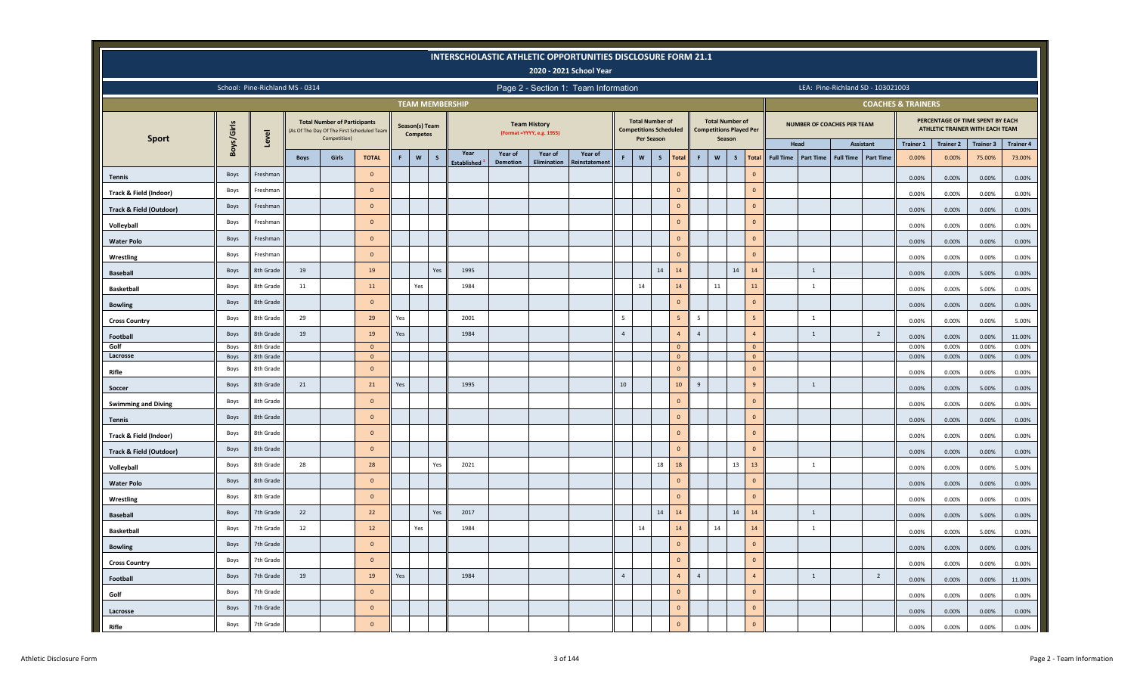|                                    |            |                                 |             |                                                     |                                           |     |                                   |             |                          |          |                                                  | INTERSCHOLASTIC ATHLETIC OPPORTUNITIES DISCLOSURE FORM 21.1<br>2020 - 2021 School Year |                |                                                                       |              |                 |                |                                                                    |              |                |                  |                            |                  |                                   |                               |                  |                                                                     |                  |
|------------------------------------|------------|---------------------------------|-------------|-----------------------------------------------------|-------------------------------------------|-----|-----------------------------------|-------------|--------------------------|----------|--------------------------------------------------|----------------------------------------------------------------------------------------|----------------|-----------------------------------------------------------------------|--------------|-----------------|----------------|--------------------------------------------------------------------|--------------|----------------|------------------|----------------------------|------------------|-----------------------------------|-------------------------------|------------------|---------------------------------------------------------------------|------------------|
|                                    |            | School: Pine-Richland MS - 0314 |             |                                                     |                                           |     |                                   |             |                          |          |                                                  | Page 2 - Section 1: Team Information                                                   |                |                                                                       |              |                 |                |                                                                    |              |                |                  |                            |                  | LEA: Pine-Richland SD - 103021003 |                               |                  |                                                                     |                  |
|                                    |            |                                 |             |                                                     |                                           |     |                                   |             | <b>TEAM MEMBERSHIP</b>   |          |                                                  |                                                                                        |                |                                                                       |              |                 |                |                                                                    |              |                |                  |                            |                  |                                   | <b>COACHES &amp; TRAINERS</b> |                  |                                                                     |                  |
|                                    | Boys/Girls | Level                           |             | <b>Total Number of Participants</b><br>Competition) | As Of The Day Of The First Scheduled Team |     | Season(s) Team<br><b>Competes</b> |             |                          |          | <b>Team History</b><br>(Format =YYYY, e.g. 1955) |                                                                                        |                | <b>Total Number of</b><br><b>Competitions Scheduled</b><br>Per Season |              |                 |                | <b>Total Number of</b><br><b>Competitions Played Per</b><br>Season |              |                |                  | NUMBER OF COACHES PER TEAM |                  |                                   |                               |                  | PERCENTAGE OF TIME SPENT BY EACH<br>ATHLETIC TRAINER WITH EACH TEAM |                  |
| <b>Sport</b>                       |            |                                 |             |                                                     |                                           |     |                                   |             | Year                     | Year of  | Year of                                          | Year of                                                                                |                |                                                                       |              |                 |                |                                                                    |              |                | Head             |                            |                  | Assistant                         | <b>Trainer 1</b>              | <b>Trainer 2</b> | <b>Trainer 3</b>                                                    | <b>Trainer 4</b> |
|                                    |            |                                 | <b>Boys</b> | Girls                                               | <b>TOTAL</b>                              | F.  | $\mathsf{w}$                      | $\mathsf S$ | Established <sup>1</sup> | Demotion | Elimination                                      | Reinstatement                                                                          | F              | $\mathsf{w}$                                                          | $\mathsf{s}$ | Total           | F              | $\boldsymbol{\mathsf{w}}$                                          | $\mathsf{s}$ | <b>Total</b>   | <b>Full Time</b> | Part Time                  | <b>Full Time</b> | <b>Part Time</b>                  | 0.00%                         | 0.00%            | 75.00%                                                              | 73.00%           |
| <b>Tennis</b>                      | Boys       | Freshman                        |             |                                                     | $\mathbf 0$                               |     |                                   |             |                          |          |                                                  |                                                                                        |                |                                                                       |              | $\mathbf{0}$    |                |                                                                    |              | $\mathbf{0}$   |                  |                            |                  |                                   | 0.00%                         | 0.00%            | 0.00%                                                               | 0.00%            |
| <b>Track &amp; Field (Indoor)</b>  | Boys       | Freshman                        |             |                                                     | $\overline{\mathbf{0}}$                   |     |                                   |             |                          |          |                                                  |                                                                                        |                |                                                                       |              | $\mathbf{0}$    |                |                                                                    |              | $\mathbf{0}$   |                  |                            |                  |                                   | 0.00%                         | 0.00%            | 0.00%                                                               | 0.00%            |
| Track & Field (Outdoor)            | Boys       | Freshman                        |             |                                                     | $\overline{\mathbf{0}}$                   |     |                                   |             |                          |          |                                                  |                                                                                        |                |                                                                       |              | $\circ$         |                |                                                                    |              | $\mathbf{0}$   |                  |                            |                  |                                   | 0.00%                         | 0.00%            | 0.00%                                                               | 0.00%            |
| Volleyball                         | Boys       | Freshman                        |             |                                                     | $\overline{\mathbf{0}}$                   |     |                                   |             |                          |          |                                                  |                                                                                        |                |                                                                       |              | $\circ$         |                |                                                                    |              | $\mathbf{0}$   |                  |                            |                  |                                   | 0.00%                         | 0.00%            | 0.00%                                                               | 0.00%            |
| <b>Water Polo</b>                  | Boys       | Freshman                        |             |                                                     | $\overline{\mathbf{0}}$                   |     |                                   |             |                          |          |                                                  |                                                                                        |                |                                                                       |              | $\overline{0}$  |                |                                                                    |              | $\mathbf{0}$   |                  |                            |                  |                                   | 0.00%                         | 0.00%            | 0.00%                                                               | 0.00%            |
| Wrestling                          | Boys       | Freshman                        |             |                                                     | $\overline{\mathbf{0}}$                   |     |                                   |             |                          |          |                                                  |                                                                                        |                |                                                                       |              | $\circ$         |                |                                                                    |              | $\mathbf{0}$   |                  |                            |                  |                                   | 0.00%                         | 0.00%            | 0.00%                                                               | 0.00%            |
| <b>Baseball</b>                    | Boys       | 8th Grade                       | 19          |                                                     | 19                                        |     |                                   | Yes         | 1995                     |          |                                                  |                                                                                        |                |                                                                       | 14           | 14              |                |                                                                    | 14           | 14             |                  | $\mathbf{1}$               |                  |                                   | 0.00%                         | 0.00%            | 5.00%                                                               | 0.00%            |
| <b>Basketball</b>                  | Boys       | 8th Grade                       | 11          |                                                     | 11                                        |     | Yes                               |             | 1984                     |          |                                                  |                                                                                        |                | 14                                                                    |              | 14              |                | $11\,$                                                             |              | 11             |                  | $\mathbf{1}$               |                  |                                   | 0.00%                         | 0.00%            | 5.00%                                                               | 0.00%            |
| <b>Bowling</b>                     | Boys       | 8th Grade                       |             |                                                     | $\mathbf{0}$                              |     |                                   |             |                          |          |                                                  |                                                                                        |                |                                                                       |              | $\mathbf{0}$    |                |                                                                    |              | $\mathbf{0}$   |                  |                            |                  |                                   | 0.00%                         | 0.00%            | 0.00%                                                               | 0.00%            |
| <b>Cross Country</b>               | Boys       | 8th Grade                       | 29          |                                                     | 29                                        | Yes |                                   |             | 2001                     |          |                                                  |                                                                                        | $\overline{5}$ |                                                                       |              | $5\phantom{.0}$ | 5              |                                                                    |              | 5              |                  | $\,$ 1 $\,$                |                  |                                   | 0.00%                         | 0.00%            | 0.00%                                                               | 5.00%            |
| Football                           | Boys       | 8th Grade                       | 19          |                                                     | 19                                        | Yes |                                   |             | 1984                     |          |                                                  |                                                                                        | $\overline{4}$ |                                                                       |              | $\overline{4}$  | $\overline{4}$ |                                                                    |              | $\overline{4}$ |                  | $\mathbf{1}$               |                  | $\overline{2}$                    | 0.00%                         | 0.00%            | 0.00%                                                               | 11.00%           |
| Golf                               | Boys       | 8th Grade                       |             |                                                     | $\overline{\mathbf{0}}$                   |     |                                   |             |                          |          |                                                  |                                                                                        |                |                                                                       |              | $\circ$         |                |                                                                    |              | $\mathbf{0}$   |                  |                            |                  |                                   | 0.00%                         | 0.00%            | 0.00%                                                               | 0.00%            |
| Lacrosse                           | Boys       | 8th Grade                       |             |                                                     | $\overline{\mathbf{0}}$                   |     |                                   |             |                          |          |                                                  |                                                                                        |                |                                                                       |              | $\circ$         |                |                                                                    |              | $\mathbf 0$    |                  |                            |                  |                                   | 0.00%                         | 0.00%            | 0.00%                                                               | 0.00%            |
| Rifle                              | Boys       | 8th Grade                       |             |                                                     | $\overline{\mathbf{0}}$                   |     |                                   |             |                          |          |                                                  |                                                                                        |                |                                                                       |              | $\mathbf{0}$    |                |                                                                    |              | $\mathbf{0}$   |                  |                            |                  |                                   | 0.00%                         | 0.00%            | 0.00%                                                               | 0.00%            |
| Soccer                             | Boys       | 8th Grade                       | 21          |                                                     | 21                                        | Yes |                                   |             | 1995                     |          |                                                  |                                                                                        | 10             |                                                                       |              | 10              | $\overline{9}$ |                                                                    |              | 9              |                  | $\mathbf{1}$               |                  |                                   | 0.00%                         | 0.00%            | 5.00%                                                               | 0.00%            |
| <b>Swimming and Diving</b>         | Boys       | 8th Grade                       |             |                                                     | $\mathbf 0$                               |     |                                   |             |                          |          |                                                  |                                                                                        |                |                                                                       |              | $\circ$         |                |                                                                    |              | $\mathbf{0}$   |                  |                            |                  |                                   | 0.00%                         | 0.00%            | 0.00%                                                               | 0.00%            |
| <b>Tennis</b>                      | Boys       | 8th Grade                       |             |                                                     | $\overline{\mathbf{0}}$                   |     |                                   |             |                          |          |                                                  |                                                                                        |                |                                                                       |              | $\circ$         |                |                                                                    |              | $\mathbf{0}$   |                  |                            |                  |                                   | 0.00%                         | 0.00%            | 0.00%                                                               | 0.00%            |
| <b>Track &amp; Field (Indoor)</b>  | Boys       | 8th Grade                       |             |                                                     | $\overline{\mathbf{0}}$                   |     |                                   |             |                          |          |                                                  |                                                                                        |                |                                                                       |              | $\mathbf{0}$    |                |                                                                    |              | $\mathbf{0}$   |                  |                            |                  |                                   | 0.00%                         | 0.00%            | 0.00%                                                               | 0.00%            |
| <b>Track &amp; Field (Outdoor)</b> | Boys       | 8th Grade                       |             |                                                     | $\overline{\mathbf{0}}$                   |     |                                   |             |                          |          |                                                  |                                                                                        |                |                                                                       |              | $\circ$         |                |                                                                    |              | $\Omega$       |                  |                            |                  |                                   | 0.00%                         | 0.00%            | 0.00%                                                               | 0.00%            |
| Volleyball                         | Boys       | 8th Grade                       | 28          |                                                     | 28                                        |     |                                   | Yes         | 2021                     |          |                                                  |                                                                                        |                |                                                                       | 18           | $18\,$          |                |                                                                    | 13           | 13             |                  | $\mathbf{1}$               |                  |                                   | 0.00%                         | 0.00%            | 0.00%                                                               | 5.00%            |
| <b>Water Polo</b>                  | Boys       | 8th Grade                       |             |                                                     | $\overline{\mathbf{0}}$                   |     |                                   |             |                          |          |                                                  |                                                                                        |                |                                                                       |              | $\mathbf{0}$    |                |                                                                    |              | $\Omega$       |                  |                            |                  |                                   | 0.00%                         | 0.00%            | 0.00%                                                               | 0.00%            |
| Wrestling                          | Boys       | 8th Grade                       |             |                                                     | $\overline{\mathbf{0}}$                   |     |                                   |             |                          |          |                                                  |                                                                                        |                |                                                                       |              | $\mathbf{0}$    |                |                                                                    |              | $\mathbf{0}$   |                  |                            |                  |                                   | 0.00%                         | 0.00%            | 0.00%                                                               | 0.00%            |
| <b>Baseball</b>                    | Boys       | 7th Grade                       | 22          |                                                     | 22                                        |     |                                   | Yes         | 2017                     |          |                                                  |                                                                                        |                |                                                                       | 14           | 14              |                |                                                                    | 14           | 14             |                  | $\overline{1}$             |                  |                                   | 0.00%                         | 0.00%            | 5.00%                                                               | 0.00%            |
| <b>Basketball</b>                  | Boys       | 7th Grade                       | 12          |                                                     | 12                                        |     | Yes                               |             | 1984                     |          |                                                  |                                                                                        |                | 14                                                                    |              | 14              |                | 14                                                                 |              | 14             |                  | $\mathbf{1}$               |                  |                                   | 0.00%                         | 0.00%            | 5.00%                                                               | 0.00%            |
| <b>Bowling</b>                     | Boys       | 7th Grade                       |             |                                                     | $\overline{\mathbf{0}}$                   |     |                                   |             |                          |          |                                                  |                                                                                        |                |                                                                       |              | $\mathbf{0}$    |                |                                                                    |              | $\Omega$       |                  |                            |                  |                                   | 0.00%                         | 0.00%            | 0.00%                                                               | 0.00%            |
| <b>Cross Country</b>               | Boys       | 7th Grade                       |             |                                                     | $\mathbf 0$                               |     |                                   |             |                          |          |                                                  |                                                                                        |                |                                                                       |              | $\overline{0}$  |                |                                                                    |              | $\mathbf{0}$   |                  |                            |                  |                                   | 0.00%                         | 0.00%            | 0.00%                                                               | 0.00%            |
| Football                           | Boys       | 7th Grade                       | 19          |                                                     | 19                                        | Yes |                                   |             | 1984                     |          |                                                  |                                                                                        | $\overline{4}$ |                                                                       |              | $\overline{4}$  | $\overline{4}$ |                                                                    |              | $\overline{4}$ |                  | $\mathbf{1}$               |                  | $\overline{2}$                    | 0.00%                         | 0.00%            | 0.00%                                                               | 11.00%           |
| Golf                               | Boys       | 7th Grade                       |             |                                                     | $\overline{0}$                            |     |                                   |             |                          |          |                                                  |                                                                                        |                |                                                                       |              | $\mathbf{0}$    |                |                                                                    |              | $\Omega$       |                  |                            |                  |                                   | 0.00%                         | 0.00%            |                                                                     |                  |
|                                    | Boys       | 7th Grade                       |             |                                                     | $\overline{0}$                            |     |                                   |             |                          |          |                                                  |                                                                                        |                |                                                                       |              | $\circ$         |                |                                                                    |              | $\mathbf 0$    |                  |                            |                  |                                   |                               |                  | 0.00%                                                               | 0.00%            |
| Lacrosse                           | Boys       | 7th Grade                       |             |                                                     | $\overline{0}$                            |     |                                   |             |                          |          |                                                  |                                                                                        |                |                                                                       |              | $\mathbf{0}$    |                |                                                                    |              | $\Omega$       |                  |                            |                  |                                   | 0.00%                         | 0.00%            | 0.00%                                                               | 0.00%            |
| Rifle                              |            |                                 |             |                                                     |                                           |     |                                   |             |                          |          |                                                  |                                                                                        |                |                                                                       |              |                 |                |                                                                    |              |                |                  |                            |                  |                                   | 0.00%                         | 0.00%            | 0.00%                                                               | 0.00%            |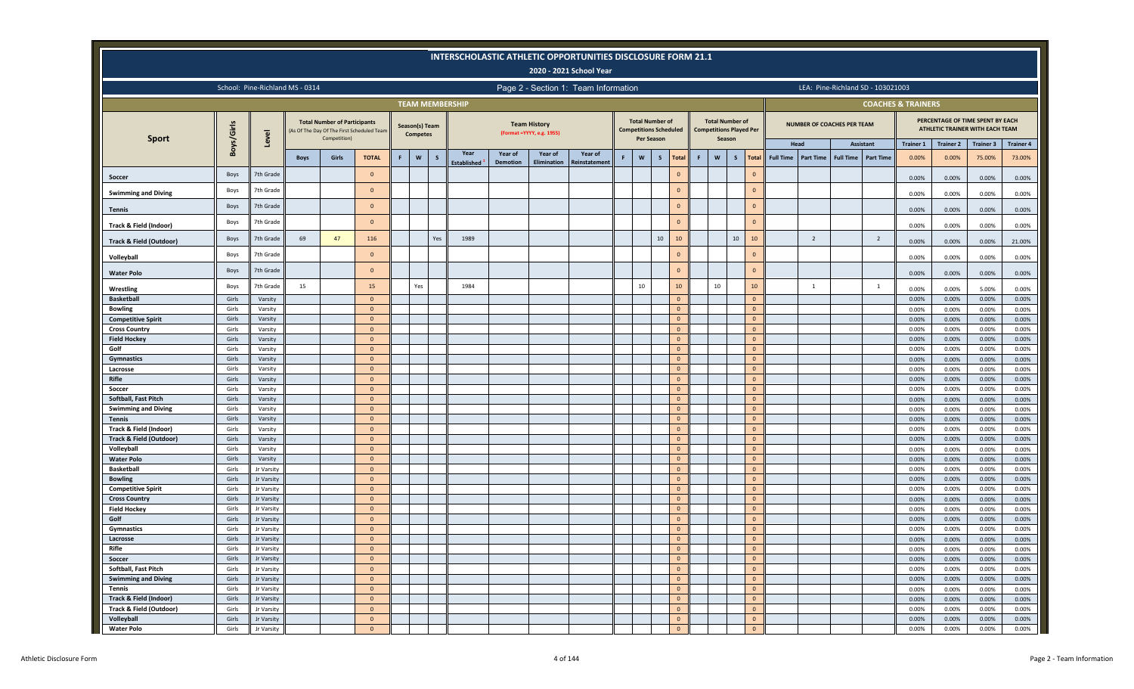|                                                  |                |                                 |             |                                     |                                           |   |                                   |          |                            |                            |                                                   | <b>INTERSCHOLASTIC ATHLETIC OPPORTUNITIES DISCLOSURE FORM 21.1</b><br>2020 - 2021 School Year |   |                                                         |              |                              |    |                                                          |              |                                  |                                   |                  |                                   |                               |                  |                                                                     |                   |
|--------------------------------------------------|----------------|---------------------------------|-------------|-------------------------------------|-------------------------------------------|---|-----------------------------------|----------|----------------------------|----------------------------|---------------------------------------------------|-----------------------------------------------------------------------------------------------|---|---------------------------------------------------------|--------------|------------------------------|----|----------------------------------------------------------|--------------|----------------------------------|-----------------------------------|------------------|-----------------------------------|-------------------------------|------------------|---------------------------------------------------------------------|-------------------|
|                                                  |                | School: Pine-Richland MS - 0314 |             |                                     |                                           |   |                                   |          |                            |                            |                                                   | Page 2 - Section 1: Team Information                                                          |   |                                                         |              |                              |    |                                                          |              |                                  |                                   |                  | LEA: Pine-Richland SD - 103021003 |                               |                  |                                                                     |                   |
|                                                  |                |                                 |             |                                     |                                           |   |                                   |          | <b>TEAM MEMBERSHIP</b>     |                            |                                                   |                                                                                               |   |                                                         |              |                              |    |                                                          |              |                                  |                                   |                  |                                   | <b>COACHES &amp; TRAINERS</b> |                  |                                                                     |                   |
|                                                  | Boys/Girls     |                                 |             | <b>Total Number of Participants</b> | As Of The Day Of The First Scheduled Team |   | Season(s) Team<br><b>Competes</b> |          |                            |                            | <b>Team History</b><br>(Format = YYYY, e.g. 1955) |                                                                                               |   | <b>Total Number of</b><br><b>Competitions Scheduled</b> |              |                              |    | <b>Total Number of</b><br><b>Competitions Played Per</b> |              |                                  | <b>NUMBER OF COACHES PER TEAM</b> |                  |                                   |                               |                  | PERCENTAGE OF TIME SPENT BY EACH<br>ATHLETIC TRAINER WITH EACH TEAM |                   |
| <b>Sport</b>                                     |                | Level                           |             | Competition)                        |                                           |   |                                   |          |                            |                            |                                                   |                                                                                               |   | Per Season                                              |              |                              |    | Season                                                   |              |                                  | Head                              |                  | <b>Assistant</b>                  | <b>Trainer 1</b>              | <b>Trainer 2</b> | <b>Trainer 3</b>                                                    | <b>Trainer 4</b>  |
|                                                  |                |                                 | <b>Boys</b> | Girls                               | <b>TOTAL</b>                              | F | $\mathsf{w}$                      | <b>S</b> | Year<br><b>Established</b> | Year of<br><b>Demotion</b> | Year of<br>Elimination                            | Year of<br>Reinstatement                                                                      | F | ${\bf W}$                                               | $\mathsf{s}$ | <b>Total</b>                 | F. | $\mathbf{w}$                                             | $\mathsf{s}$ | <b>Full Time</b><br><b>Total</b> | <b>Part Time</b>                  | <b>Full Time</b> | <b>Part Time</b>                  | 0.00%                         | 0.00%            | 75.00%                                                              | 73.00%            |
| Soccer                                           | Boys           | 7th Grade                       |             |                                     | $\overline{0}$                            |   |                                   |          |                            |                            |                                                   |                                                                                               |   |                                                         |              | $\mathbf{0}$                 |    |                                                          |              | $\Omega$                         |                                   |                  |                                   | 0.00%                         | 0.00%            | 0.00%                                                               | 0.00%             |
| <b>Swimming and Diving</b>                       | Boys           | 7th Grade                       |             |                                     | $\Omega$                                  |   |                                   |          |                            |                            |                                                   |                                                                                               |   |                                                         |              | $\Omega$                     |    |                                                          |              | $\Omega$                         |                                   |                  |                                   | 0.00%                         | 0.00%            | 0.00%                                                               | 0.00%             |
| <b>Tennis</b>                                    | Boys           | 7th Grade                       |             |                                     | $\overline{0}$                            |   |                                   |          |                            |                            |                                                   |                                                                                               |   |                                                         |              | $\mathbf{0}$                 |    |                                                          |              | $\Omega$                         |                                   |                  |                                   | 0.00%                         | 0.00%            | 0.00%                                                               | 0.00%             |
| Track & Field (Indoor)                           | Boys           | 7th Grade                       |             |                                     | $\overline{0}$                            |   |                                   |          |                            |                            |                                                   |                                                                                               |   |                                                         |              | $\mathbf{0}$                 |    |                                                          |              | $\mathbf{0}$                     |                                   |                  |                                   | 0.00%                         | 0.00%            | 0.00%                                                               | 0.00%             |
| Track & Field (Outdoor)                          | Boys           | 7th Grade                       | 69          | 47                                  | 116                                       |   |                                   | Yes      | 1989                       |                            |                                                   |                                                                                               |   |                                                         | 10           | 10                           |    |                                                          | 10           | 10                               | $\overline{2}$                    |                  | $\overline{2}$                    | 0.00%                         | 0.00%            | 0.00%                                                               | 21.00%            |
| Volleyball                                       | Boys           | 7th Grade                       |             |                                     | $\Omega$                                  |   |                                   |          |                            |                            |                                                   |                                                                                               |   |                                                         |              | $\Omega$                     |    |                                                          |              | $\Omega$                         |                                   |                  |                                   | 0.00%                         | 0.00%            | 0.00%                                                               | 0.00%             |
| <b>Water Polo</b>                                | Boys           | 7th Grade                       |             |                                     | $\overline{0}$                            |   |                                   |          |                            |                            |                                                   |                                                                                               |   |                                                         |              | $\mathbf{0}$                 |    |                                                          |              | $\Omega$                         |                                   |                  |                                   | 0.00%                         | 0.00%            | 0.00%                                                               | 0.00%             |
| Wrestling                                        | Boys           | 7th Grade                       | 15          |                                     | 15                                        |   | Yes                               |          | 1984                       |                            |                                                   |                                                                                               |   | 10                                                      |              | 10                           |    | 10                                                       |              | 10                               | 1                                 |                  | $\mathbf{1}$                      | 0.00%                         | 0.00%            | 5.00%                                                               | 0.00%             |
| <b>Basketball</b>                                | Girls          | Varsity                         |             |                                     | $\overline{0}$                            |   |                                   |          |                            |                            |                                                   |                                                                                               |   |                                                         |              | $\mathbf{0}$                 |    |                                                          |              | $\Omega$                         |                                   |                  |                                   | 0.00%                         | 0.00%            | 0.00%                                                               | 0.00%             |
| <b>Bowling</b>                                   | Girls          | Varsity                         |             |                                     | $\overline{0}$                            |   |                                   |          |                            |                            |                                                   |                                                                                               |   |                                                         |              | $\mathbf{0}$                 |    |                                                          |              | $\mathbf{0}$                     |                                   |                  |                                   | 0.00%                         | 0.00%            | 0.00%                                                               | 0.00%             |
| <b>Competitive Spirit</b>                        | Girls          | Varsity                         |             |                                     | $\overline{0}$                            |   |                                   |          |                            |                            |                                                   |                                                                                               |   |                                                         |              | $\mathbf{0}$                 |    |                                                          |              | $\mathbf{0}$                     |                                   |                  |                                   | 0.00%                         | 0.00%            | 0.00%                                                               | 0.00%             |
| <b>Cross Country</b>                             | Girls          | Varsity                         |             |                                     | $\overline{0}$                            |   |                                   |          |                            |                            |                                                   |                                                                                               |   |                                                         |              | $\overline{0}$               |    |                                                          |              | $\mathbf{0}$                     |                                   |                  |                                   | 0.00%                         | 0.00%            | 0.00%                                                               | 0.00%             |
| <b>Field Hockey</b>                              | Girls          | Varsity                         |             |                                     | $\overline{0}$                            |   |                                   |          |                            |                            |                                                   |                                                                                               |   |                                                         |              | $\Omega$                     |    |                                                          |              | $\mathbf{0}$                     |                                   |                  |                                   | 0.00%                         | 0.00%            | 0.00%                                                               | 0.00%             |
| Golf                                             | Girls          | Varsity                         |             |                                     | $\overline{0}$                            |   |                                   |          |                            |                            |                                                   |                                                                                               |   |                                                         |              | $\overline{0}$               |    |                                                          |              | $\mathbf{0}$                     |                                   |                  |                                   | 0.00%                         | 0.00%            | 0.00%                                                               | 0.00%             |
| Gymnastics                                       | Girls          | Varsity                         |             |                                     | $\overline{0}$                            |   |                                   |          |                            |                            |                                                   |                                                                                               |   |                                                         |              | $\mathbf{0}$                 |    |                                                          |              | $\mathbf{0}$                     |                                   |                  |                                   | 0.00%                         | 0.00%            | 0.00%                                                               | 0.00%             |
| Lacrosse                                         | Girls          | Varsity                         |             |                                     | $\overline{0}$                            |   |                                   |          |                            |                            |                                                   |                                                                                               |   |                                                         |              | $\mathbf{0}$                 |    |                                                          |              | $\mathbf{0}$                     |                                   |                  |                                   | 0.00%                         | 0.00%            | 0.00%                                                               | 0.00%             |
| Rifle                                            | Girls          | Varsity                         |             |                                     | $\overline{0}$                            |   |                                   |          |                            |                            |                                                   |                                                                                               |   |                                                         |              | $\mathbf{0}$                 |    |                                                          |              | $\mathbf{0}$                     |                                   |                  |                                   | 0.00%                         | 0.00%            | 0.00%                                                               | 0.00%             |
| Soccer                                           | Girls          | Varsity                         |             |                                     | $\overline{0}$                            |   |                                   |          |                            |                            |                                                   |                                                                                               |   |                                                         |              | $\overline{0}$               |    |                                                          |              | $\mathbf{0}$                     |                                   |                  |                                   | 0.00%                         | 0.00%            | 0.00%                                                               | 0.00%             |
| Softball, Fast Pitch                             | Girls          | Varsity                         |             |                                     | $\mathbf{0}$                              |   |                                   |          |                            |                            |                                                   |                                                                                               |   |                                                         |              | $\mathbf{0}$                 |    |                                                          |              | $\mathbf{0}$                     |                                   |                  |                                   | 0.00%                         | 0.00%            | 0.00%                                                               | 0.00%             |
| <b>Swimming and Diving</b>                       | Girls          | Varsity                         |             |                                     | $\overline{0}$                            |   |                                   |          |                            |                            |                                                   |                                                                                               |   |                                                         |              | $\mathbf{0}$                 |    |                                                          |              | $\mathbf{0}$                     |                                   |                  |                                   | 0.00%                         | 0.00%            | 0.00%                                                               | 0.00%             |
| <b>Tennis</b>                                    | Girls          | Varsity                         |             |                                     | $\overline{0}$                            |   |                                   |          |                            |                            |                                                   |                                                                                               |   |                                                         |              | $\Omega$                     |    |                                                          |              | $\mathbf{0}$                     |                                   |                  |                                   | 0.00%                         | 0.00%            | 0.00%                                                               | 0.00%             |
| Track & Field (Indoor)                           | Girls          | Varsity                         |             |                                     | $\overline{0}$<br>$\overline{0}$          |   |                                   |          |                            |                            |                                                   |                                                                                               |   |                                                         |              | $\mathbf{0}$<br>$\mathbf{0}$ |    |                                                          |              | $\mathbf{0}$<br>$\Omega$         |                                   |                  |                                   | 0.00%                         | 0.00%            | 0.00%                                                               | 0.00%             |
| <b>Track &amp; Field (Outdoor)</b><br>Volleyball | Girls<br>Girls | Varsity<br>Varsity              |             |                                     | $\overline{0}$                            |   |                                   |          |                            |                            |                                                   |                                                                                               |   |                                                         |              | $\mathbf{0}$                 |    |                                                          |              | $\Omega$                         |                                   |                  |                                   | 0.00%                         | 0.00%            | 0.00%                                                               | 0.00%<br>$0.00\%$ |
| <b>Water Polo</b>                                | Girls          | Varsity                         |             |                                     | $\overline{0}$                            |   |                                   |          |                            |                            |                                                   |                                                                                               |   |                                                         |              | $\mathbf{0}$                 |    |                                                          |              | $\Omega$                         |                                   |                  |                                   | 0.00%<br>0.00%                | 0.00%<br>0.00%   | 0.00%                                                               | $0.00\%$          |
| <b>Basketball</b>                                | Girls          | Jr Varsity                      |             |                                     | $\overline{0}$                            |   |                                   |          |                            |                            |                                                   |                                                                                               |   |                                                         |              | $\mathbf{0}$                 |    |                                                          |              | $\Omega$                         |                                   |                  |                                   | 0.00%                         | 0.00%            | 0.00%<br>0.00%                                                      | 0.00%             |
| <b>Bowling</b>                                   | Girls          | Jr Varsity                      |             |                                     | $\overline{0}$                            |   |                                   |          |                            |                            |                                                   |                                                                                               |   |                                                         |              | $\mathbf{0}$                 |    |                                                          |              | $\Omega$                         |                                   |                  |                                   | 0.00%                         | 0.00%            | 0.00%                                                               | 0.00%             |
| <b>Competitive Spirit</b>                        | Girls          | Jr Varsity                      |             |                                     | $\overline{0}$                            |   |                                   |          |                            |                            |                                                   |                                                                                               |   |                                                         |              | $\mathbf{0}$                 |    |                                                          |              | $\Omega$                         |                                   |                  |                                   | 0.00%                         | 0.00%            | 0.00%                                                               | 0.00%             |
| <b>Cross Country</b>                             | Girls          | Jr Varsity                      |             |                                     | $\overline{0}$                            |   |                                   |          |                            |                            |                                                   |                                                                                               |   |                                                         |              | $\mathbf{0}$                 |    |                                                          |              | $\Omega$                         |                                   |                  |                                   | 0.00%                         | 0.00%            | 0.00%                                                               | 0.00%             |
| <b>Field Hockey</b>                              | Girls          | Jr Varsity                      |             |                                     | $\mathbf{0}$                              |   |                                   |          |                            |                            |                                                   |                                                                                               |   |                                                         |              | $\mathbf{0}$                 |    |                                                          |              | $\Omega$                         |                                   |                  |                                   | 0.00%                         | 0.00%            | 0.00%                                                               | 0.00%             |
| Golf                                             | Girls          | Jr Varsity                      |             |                                     | $\overline{0}$                            |   |                                   |          |                            |                            |                                                   |                                                                                               |   |                                                         |              | $\mathbf{0}$                 |    |                                                          |              | $\Omega$                         |                                   |                  |                                   | 0.00%                         | 0.00%            | 0.00%                                                               | 0.00%             |
| Gymnastics                                       | Girls          | Jr Varsity                      |             |                                     | $\overline{0}$                            |   |                                   |          |                            |                            |                                                   |                                                                                               |   |                                                         |              | $\mathbf{0}$                 |    |                                                          |              | $\mathbf{0}$                     |                                   |                  |                                   | 0.00%                         | 0.00%            | 0.00%                                                               | 0.00%             |
| Lacrosse                                         | Girls          | Jr Varsity                      |             |                                     | $\mathbf{0}$                              |   |                                   |          |                            |                            |                                                   |                                                                                               |   |                                                         |              | $\mathbf{0}$                 |    |                                                          |              | $\mathbf{0}$                     |                                   |                  |                                   | 0.00%                         | 0.00%            | 0.00%                                                               | 0.00%             |
| Rifle                                            | Girls          | Jr Varsity                      |             |                                     | $\overline{0}$                            |   |                                   |          |                            |                            |                                                   |                                                                                               |   |                                                         |              | $\Omega$                     |    |                                                          |              |                                  |                                   |                  |                                   | 0.00%                         | 0.00%            | $0.00\%$                                                            | 0.00%             |
| Soccer                                           | Girls          | Jr Varsity                      |             |                                     | $\overline{0}$                            |   |                                   |          |                            |                            |                                                   |                                                                                               |   |                                                         |              | $\mathbf{0}$                 |    |                                                          |              | $\mathbf{0}$                     |                                   |                  |                                   | 0.00%                         | 0.00%            | 0.00%                                                               | 0.00%             |
| Softball, Fast Pitch                             | Girls          | Jr Varsity                      |             |                                     | $\overline{0}$                            |   |                                   |          |                            |                            |                                                   |                                                                                               |   |                                                         |              | $\overline{0}$               |    |                                                          |              | $\mathbf{0}$                     |                                   |                  |                                   | 0.00%                         | 0.00%            | 0.00%                                                               | 0.00%             |
| <b>Swimming and Diving</b>                       | Girls          | Jr Varsity                      |             |                                     | $\overline{0}$                            |   |                                   |          |                            |                            |                                                   |                                                                                               |   |                                                         |              | $\mathbf{0}$                 |    |                                                          |              | $\overline{0}$                   |                                   |                  |                                   | 0.00%                         | 0.00%            | 0.00%                                                               | 0.00%             |
| Tennis                                           | Girls          | Jr Varsity                      |             |                                     | $\overline{0}$                            |   |                                   |          |                            |                            |                                                   |                                                                                               |   |                                                         |              | $\mathbf{0}$                 |    |                                                          |              | $\overline{0}$                   |                                   |                  |                                   | 0.00%                         | 0.00%            | 0.00%                                                               | 0.00%             |
| Track & Field (Indoor)                           | Girls          | Jr Varsity                      |             |                                     | $\overline{0}$                            |   |                                   |          |                            |                            |                                                   |                                                                                               |   |                                                         |              | $\overline{0}$               |    |                                                          |              | $\mathbf{0}$                     |                                   |                  |                                   | 0.00%                         | 0.00%            | 0.00%                                                               | 0.00%             |
| Track & Field (Outdoor)                          | Girls          | Jr Varsity                      |             |                                     | $\overline{0}$                            |   |                                   |          |                            |                            |                                                   |                                                                                               |   |                                                         |              | $\mathbf{0}$                 |    |                                                          |              | $\mathbf{0}$                     |                                   |                  |                                   | 0.00%                         | 0.00%            | 0.00%                                                               | 0.00%             |
| Volleyball                                       | Girls          | Jr Varsity                      |             |                                     | $\overline{0}$                            |   |                                   |          |                            |                            |                                                   |                                                                                               |   |                                                         |              | $\overline{0}$               |    |                                                          |              | $\overline{0}$                   |                                   |                  |                                   | 0.00%                         | 0.00%            | 0.00%                                                               | 0.00%             |
| <b>Water Polo</b>                                | Girls          | Jr Varsity                      |             |                                     | $\overline{0}$                            |   |                                   |          |                            |                            |                                                   |                                                                                               |   |                                                         |              | $\overline{0}$               |    |                                                          |              | $\overline{0}$                   |                                   |                  |                                   | 0.00%                         | 0.00%            | 0.00%                                                               | 0.00%             |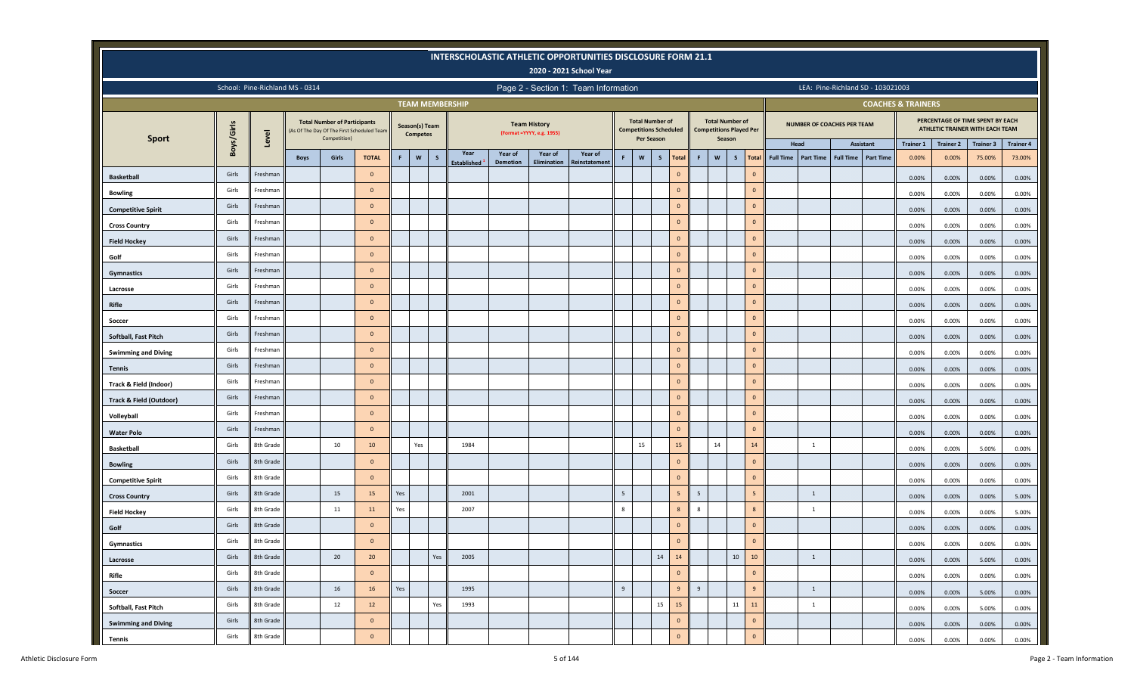|                                    |            |           |                                 |                                                     |                                           |     |                                   |              |                        |                 |                                                   | <b>INTERSCHOLASTIC ATHLETIC OPPORTUNITIES DISCLOSURE FORM 21.1</b><br>2020 - 2021 School Year |   |                                                                       |              |                |    |                                                                    |    |                |                  |                  |                            |                                   |                               |                  |                                                                     |                  |
|------------------------------------|------------|-----------|---------------------------------|-----------------------------------------------------|-------------------------------------------|-----|-----------------------------------|--------------|------------------------|-----------------|---------------------------------------------------|-----------------------------------------------------------------------------------------------|---|-----------------------------------------------------------------------|--------------|----------------|----|--------------------------------------------------------------------|----|----------------|------------------|------------------|----------------------------|-----------------------------------|-------------------------------|------------------|---------------------------------------------------------------------|------------------|
|                                    |            |           | School: Pine-Richland MS - 0314 |                                                     |                                           |     |                                   |              |                        |                 |                                                   | Page 2 - Section 1: Team Information                                                          |   |                                                                       |              |                |    |                                                                    |    |                |                  |                  |                            | LEA: Pine-Richland SD - 103021003 |                               |                  |                                                                     |                  |
|                                    |            |           |                                 |                                                     |                                           |     |                                   |              | <b>TEAM MEMBERSHIP</b> |                 |                                                   |                                                                                               |   |                                                                       |              |                |    |                                                                    |    |                |                  |                  |                            |                                   | <b>COACHES &amp; TRAINERS</b> |                  |                                                                     |                  |
|                                    | Boys/Girls | Level     |                                 | <b>Total Number of Participants</b><br>Competition) | As Of The Day Of The First Scheduled Team |     | Season(s) Team<br><b>Competes</b> |              |                        |                 | <b>Team History</b><br>(Format = YYYY, e.g. 1955) |                                                                                               |   | <b>Total Number of</b><br><b>Competitions Scheduled</b><br>Per Season |              |                |    | <b>Total Number of</b><br><b>Competitions Played Per</b><br>Season |    |                |                  |                  | NUMBER OF COACHES PER TEAM |                                   |                               |                  | PERCENTAGE OF TIME SPENT BY EACH<br>ATHLETIC TRAINER WITH EACH TEAM |                  |
| <b>Sport</b>                       |            |           |                                 |                                                     |                                           |     |                                   |              | Year                   | Year of         | Year of                                           | Year of                                                                                       |   |                                                                       |              |                |    |                                                                    |    |                | Head             |                  |                            | Assistant                         | <b>Trainer 1</b>              | <b>Trainer 2</b> | Trainer 3                                                           | <b>Trainer 4</b> |
|                                    |            |           | <b>Boys</b>                     | Girls                                               | <b>TOTAL</b>                              | F   | W                                 | $\mathsf{s}$ | <b>Established</b>     | <b>Demotion</b> | Elimination                                       | Reinstatement                                                                                 | F | $\boldsymbol{\mathsf{w}}$                                             | $\mathsf{s}$ | <b>Total</b>   | F. | $\boldsymbol{\mathsf{w}}$                                          | S  | <b>Total</b>   | <b>Full Time</b> | <b>Part Time</b> | <b>Full Time</b>           | <b>Part Time</b>                  | 0.00%                         | 0.00%            | 75.00%                                                              | 73.00%           |
| <b>Basketball</b>                  | Girls      | Freshman  |                                 |                                                     | $\overline{0}$                            |     |                                   |              |                        |                 |                                                   |                                                                                               |   |                                                                       |              | $\mathbf{0}$   |    |                                                                    |    | $\mathbf{0}$   |                  |                  |                            |                                   | 0.00%                         | 0.00%            | 0.00%                                                               | 0.00%            |
| <b>Bowling</b>                     | Girls      | Freshman  |                                 |                                                     | $\overline{0}$                            |     |                                   |              |                        |                 |                                                   |                                                                                               |   |                                                                       |              | $\mathbf{0}$   |    |                                                                    |    | $\Omega$       |                  |                  |                            |                                   | 0.00%                         | 0.00%            | 0.00%                                                               | 0.00%            |
| <b>Competitive Spirit</b>          | Girls      | Freshman  |                                 |                                                     | $\overline{0}$                            |     |                                   |              |                        |                 |                                                   |                                                                                               |   |                                                                       |              | $\mathbf{0}$   |    |                                                                    |    | $\mathbf{0}$   |                  |                  |                            |                                   | 0.00%                         | 0.00%            | 0.00%                                                               | 0.00%            |
| <b>Cross Country</b>               | Girls      | Freshman  |                                 |                                                     | $\overline{0}$                            |     |                                   |              |                        |                 |                                                   |                                                                                               |   |                                                                       |              | $\mathbf{0}$   |    |                                                                    |    | $\mathbf{0}$   |                  |                  |                            |                                   | 0.00%                         | 0.00%            | 0.00%                                                               | 0.00%            |
| <b>Field Hockey</b>                | Girls      | Freshman  |                                 |                                                     | $\overline{0}$                            |     |                                   |              |                        |                 |                                                   |                                                                                               |   |                                                                       |              | $\mathbf{0}$   |    |                                                                    |    | $\mathbf{0}$   |                  |                  |                            |                                   | 0.00%                         | 0.00%            | 0.00%                                                               | 0.00%            |
| Golf                               | Girls      | Freshman  |                                 |                                                     | $\overline{0}$                            |     |                                   |              |                        |                 |                                                   |                                                                                               |   |                                                                       |              | $\mathbf{0}$   |    |                                                                    |    | $\mathbf{0}$   |                  |                  |                            |                                   | 0.00%                         | 0.00%            | 0.00%                                                               | 0.00%            |
| Gymnastics                         | Girls      | Freshman  |                                 |                                                     | $\overline{0}$                            |     |                                   |              |                        |                 |                                                   |                                                                                               |   |                                                                       |              | $\mathbf{0}$   |    |                                                                    |    | $\mathbf{0}$   |                  |                  |                            |                                   | 0.00%                         | 0.00%            | 0.00%                                                               | 0.00%            |
| Lacrosse                           | Girls      | Freshman  |                                 |                                                     | $\overline{0}$                            |     |                                   |              |                        |                 |                                                   |                                                                                               |   |                                                                       |              | $\overline{0}$ |    |                                                                    |    | $\mathbf{0}$   |                  |                  |                            |                                   | 0.00%                         | 0.00%            | 0.00%                                                               | 0.00%            |
| Rifle                              | Girls      | Freshman  |                                 |                                                     | $\overline{0}$                            |     |                                   |              |                        |                 |                                                   |                                                                                               |   |                                                                       |              | $\mathbf{0}$   |    |                                                                    |    | $\mathbf{0}$   |                  |                  |                            |                                   | 0.00%                         | 0.00%            | 0.00%                                                               | 0.00%            |
| Soccer                             | Girls      | Freshman  |                                 |                                                     | $\overline{0}$                            |     |                                   |              |                        |                 |                                                   |                                                                                               |   |                                                                       |              | $\circ$        |    |                                                                    |    | $\mathbf{0}$   |                  |                  |                            |                                   | 0.00%                         | 0.00%            | 0.00%                                                               | 0.00%            |
| Softball, Fast Pitch               | Girls      | Freshman  |                                 |                                                     | $\overline{0}$                            |     |                                   |              |                        |                 |                                                   |                                                                                               |   |                                                                       |              | $\mathbf{0}$   |    |                                                                    |    | $\mathbf{0}$   |                  |                  |                            |                                   | 0.00%                         | 0.00%            | 0.00%                                                               | 0.00%            |
| <b>Swimming and Diving</b>         | Girls      | Freshman  |                                 |                                                     | $\overline{0}$                            |     |                                   |              |                        |                 |                                                   |                                                                                               |   |                                                                       |              | $\mathbf{0}$   |    |                                                                    |    | $\mathbf{0}$   |                  |                  |                            |                                   | 0.00%                         | 0.00%            | 0.00%                                                               | 0.00%            |
| <b>Tennis</b>                      | Girls      | Freshman  |                                 |                                                     | $\overline{0}$                            |     |                                   |              |                        |                 |                                                   |                                                                                               |   |                                                                       |              | $\mathbf{0}$   |    |                                                                    |    | $\mathbf{0}$   |                  |                  |                            |                                   | 0.00%                         | 0.00%            | 0.00%                                                               | 0.00%            |
| Track & Field (Indoor)             | Girls      | Freshman  |                                 |                                                     | $\overline{0}$                            |     |                                   |              |                        |                 |                                                   |                                                                                               |   |                                                                       |              | $\overline{0}$ |    |                                                                    |    | $\mathbf{0}$   |                  |                  |                            |                                   | 0.00%                         | 0.00%            | 0.00%                                                               | 0.00%            |
| <b>Track &amp; Field (Outdoor)</b> | Girls      | Freshman  |                                 |                                                     | $\overline{0}$                            |     |                                   |              |                        |                 |                                                   |                                                                                               |   |                                                                       |              | $\mathbf{0}$   |    |                                                                    |    | $\mathbf{0}$   |                  |                  |                            |                                   | 0.00%                         | 0.00%            | 0.00%                                                               | 0.00%            |
| Volleyball                         | Girls      | Freshman  |                                 |                                                     | $\overline{0}$                            |     |                                   |              |                        |                 |                                                   |                                                                                               |   |                                                                       |              | $\overline{0}$ |    |                                                                    |    | $\mathbf{0}$   |                  |                  |                            |                                   | 0.00%                         | 0.00%            | 0.00%                                                               | 0.00%            |
| <b>Water Polo</b>                  | Girls      | Freshman  |                                 |                                                     | $\overline{0}$                            |     |                                   |              |                        |                 |                                                   |                                                                                               |   |                                                                       |              | $\mathbf{0}$   |    |                                                                    |    | $\mathbf{0}$   |                  |                  |                            |                                   | 0.00%                         | 0.00%            | 0.00%                                                               | 0.00%            |
| <b>Basketball</b>                  | Girls      | 8th Grade |                                 | 10                                                  | 10                                        |     | Yes                               |              | 1984                   |                 |                                                   |                                                                                               |   | 15                                                                    |              | 15             |    | 14                                                                 |    | 14             |                  | 1                |                            |                                   | 0.00%                         | 0.00%            | 5.00%                                                               | 0.00%            |
| <b>Bowling</b>                     | Girls      | 8th Grade |                                 |                                                     | $\overline{0}$                            |     |                                   |              |                        |                 |                                                   |                                                                                               |   |                                                                       |              | $\mathbf{0}$   |    |                                                                    |    | $\mathbf{0}$   |                  |                  |                            |                                   | 0.00%                         | 0.00%            | 0.00%                                                               | 0.00%            |
| <b>Competitive Spirit</b>          | Girls      | 8th Grade |                                 |                                                     | $\overline{0}$                            |     |                                   |              |                        |                 |                                                   |                                                                                               |   |                                                                       |              | $\mathbf{0}$   |    |                                                                    |    | $\mathbf{0}$   |                  |                  |                            |                                   | 0.00%                         | 0.00%            | 0.00%                                                               | 0.00%            |
| <b>Cross Country</b>               | Girls      | 8th Grade |                                 | 15                                                  | 15                                        | Yes |                                   |              | 2001                   |                 |                                                   |                                                                                               | 5 |                                                                       |              | 5 <sub>5</sub> | 5  |                                                                    |    | 5 <sup>5</sup> |                  | $\overline{1}$   |                            |                                   | 0.00%                         | 0.00%            | 0.00%                                                               | 5.00%            |
| <b>Field Hockey</b>                | Girls      | 8th Grade |                                 | 11                                                  | 11                                        | Yes |                                   |              | 2007                   |                 |                                                   |                                                                                               | 8 |                                                                       |              | 8              | 8  |                                                                    |    | 8              |                  | 1                |                            |                                   | 0.00%                         | 0.00%            | 0.00%                                                               | 5.00%            |
| Golf                               | Girls      | 8th Grade |                                 |                                                     | $\overline{0}$                            |     |                                   |              |                        |                 |                                                   |                                                                                               |   |                                                                       |              | $\mathbf{0}$   |    |                                                                    |    | $\Omega$       |                  |                  |                            |                                   | 0.00%                         | 0.00%            | 0.00%                                                               | 0.00%            |
| Gymnastics                         | Girls      | 8th Grade |                                 |                                                     | $\overline{0}$                            |     |                                   |              |                        |                 |                                                   |                                                                                               |   |                                                                       |              | $\mathbf{0}$   |    |                                                                    |    | $\mathbf{0}$   |                  |                  |                            |                                   | 0.00%                         | 0.00%            | 0.00%                                                               | 0.00%            |
| Lacrosse                           | Girls      | 8th Grade |                                 | 20                                                  | 20                                        |     |                                   | Yes          | 2005                   |                 |                                                   |                                                                                               |   |                                                                       | 14           | 14             |    |                                                                    | 10 | 10             |                  | 1                |                            |                                   | 0.00%                         | 0.00%            |                                                                     |                  |
| Rifle                              | Girls      | 8th Grade |                                 |                                                     | $\mathbf 0$                               |     |                                   |              |                        |                 |                                                   |                                                                                               |   |                                                                       |              | $\overline{0}$ |    |                                                                    |    | $\overline{0}$ |                  |                  |                            |                                   |                               |                  | 5.00%                                                               | 0.00%            |
|                                    | Girls      | 8th Grade |                                 | 16                                                  | 16                                        | Yes |                                   |              | 1995                   |                 |                                                   |                                                                                               | 9 |                                                                       |              | 9              | 9  |                                                                    |    | $\mathbf{q}$   |                  | $\mathbf{1}$     |                            |                                   | 0.00%                         | 0.00%            | 0.00%                                                               | 0.00%            |
| Soccer                             | Girls      | 8th Grade |                                 | 12                                                  | 12                                        |     |                                   | Yes          | 1993                   |                 |                                                   |                                                                                               |   |                                                                       | 15           | 15             |    |                                                                    | 11 | 11             |                  | $\overline{1}$   |                            |                                   | 0.00%                         | 0.00%            | 5.00%                                                               | 0.00%            |
| Softball, Fast Pitch               | Girls      | 8th Grade |                                 |                                                     | $\circ$                                   |     |                                   |              |                        |                 |                                                   |                                                                                               |   |                                                                       |              | $\overline{0}$ |    |                                                                    |    | $\mathbf{0}$   |                  |                  |                            |                                   | 0.00%                         | 0.00%            | 5.00%                                                               | 0.00%            |
| <b>Swimming and Diving</b>         | Girls      | 8th Grade |                                 |                                                     | $\mathbf 0$                               |     |                                   |              |                        |                 |                                                   |                                                                                               |   |                                                                       |              | $\overline{0}$ |    |                                                                    |    | $\circ$        |                  |                  |                            |                                   | 0.00%                         | 0.00%            | 0.00%                                                               | 0.00%            |
| Tennis                             |            |           |                                 |                                                     |                                           |     |                                   |              |                        |                 |                                                   |                                                                                               |   |                                                                       |              |                |    |                                                                    |    |                |                  |                  |                            |                                   | 0.00%                         | 0.00%            | 0.00%                                                               | 0.00%            |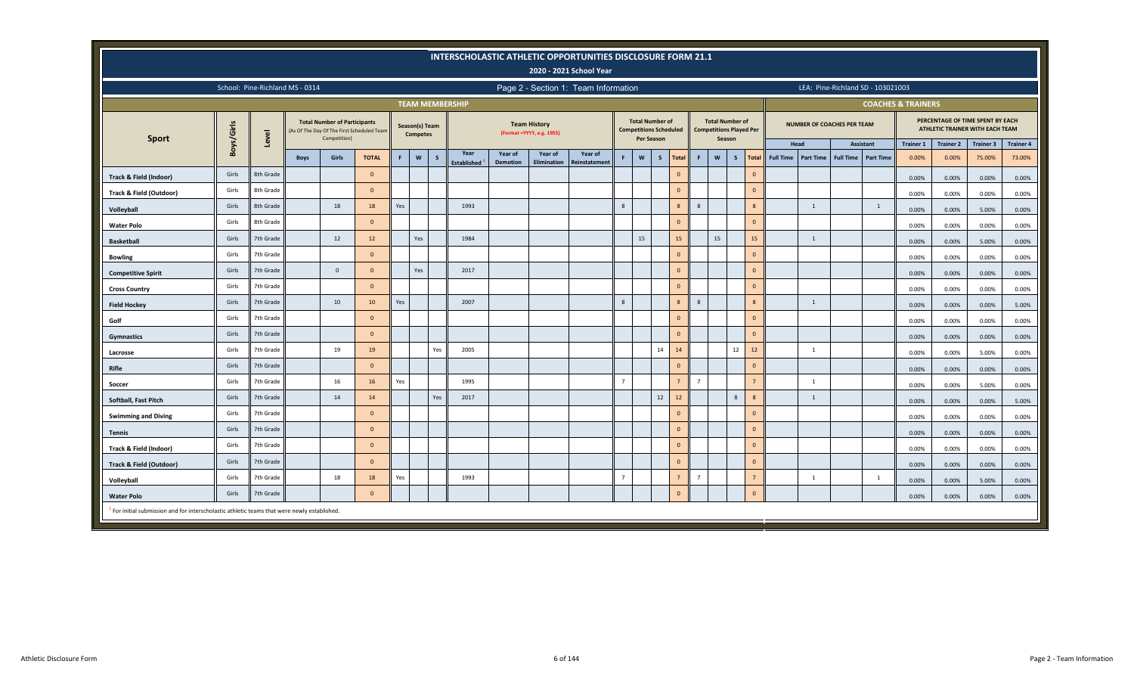|                                                                                            |                                                                                                                                                                                                                                                                                                             |                                 |             |                                                     |                                            |     |                                   |              |                        |                 |                                                   | INTERSCHOLASTIC ATHLETIC OPPORTUNITIES DISCLOSURE FORM 21.1<br>2020 - 2021 School Year |                |                                                         |                   |                |                  |                                                                    |              |                |                  |                  |                                   |                                   |                               |                  |                                                                     |                  |
|--------------------------------------------------------------------------------------------|-------------------------------------------------------------------------------------------------------------------------------------------------------------------------------------------------------------------------------------------------------------------------------------------------------------|---------------------------------|-------------|-----------------------------------------------------|--------------------------------------------|-----|-----------------------------------|--------------|------------------------|-----------------|---------------------------------------------------|----------------------------------------------------------------------------------------|----------------|---------------------------------------------------------|-------------------|----------------|------------------|--------------------------------------------------------------------|--------------|----------------|------------------|------------------|-----------------------------------|-----------------------------------|-------------------------------|------------------|---------------------------------------------------------------------|------------------|
|                                                                                            |                                                                                                                                                                                                                                                                                                             | School: Pine-Richland MS - 0314 |             |                                                     |                                            |     |                                   |              |                        |                 |                                                   | Page 2 - Section 1: Team Information                                                   |                |                                                         |                   |                |                  |                                                                    |              |                |                  |                  |                                   | LEA: Pine-Richland SD - 103021003 |                               |                  |                                                                     |                  |
|                                                                                            |                                                                                                                                                                                                                                                                                                             |                                 |             |                                                     |                                            |     |                                   |              | <b>TEAM MEMBERSHIP</b> |                 |                                                   |                                                                                        |                |                                                         |                   |                |                  |                                                                    |              |                |                  |                  |                                   |                                   | <b>COACHES &amp; TRAINERS</b> |                  |                                                                     |                  |
|                                                                                            | Boys/Girls                                                                                                                                                                                                                                                                                                  | Level                           |             | <b>Total Number of Participants</b><br>Competition) | (As Of The Day Of The First Scheduled Team |     | Season(s) Team<br><b>Competes</b> |              |                        |                 | <b>Team History</b><br>(Format = YYYY, e.g. 1955) |                                                                                        |                | <b>Total Number of</b><br><b>Competitions Scheduled</b> | <b>Per Season</b> |                |                  | <b>Total Number of</b><br><b>Competitions Played Per</b><br>Season |              |                |                  |                  | <b>NUMBER OF COACHES PER TEAM</b> |                                   |                               |                  | PERCENTAGE OF TIME SPENT BY EACH<br>ATHLETIC TRAINER WITH EACH TEAM |                  |
| Sport                                                                                      |                                                                                                                                                                                                                                                                                                             |                                 |             |                                                     |                                            |     |                                   |              | Year                   | Year of         | Year of                                           | Year of                                                                                |                |                                                         |                   |                |                  |                                                                    |              |                | Head             |                  |                                   | <b>Assistant</b>                  | <b>Trainer 1</b>              | <b>Trainer 2</b> | Trainer 3                                                           | <b>Trainer 4</b> |
|                                                                                            |                                                                                                                                                                                                                                                                                                             |                                 | <b>Boys</b> | Girls                                               | <b>TOTAL</b>                               | F.  | $\boldsymbol{\mathsf{w}}$         | $\mathsf{s}$ | <b>Established</b>     | <b>Demotion</b> | <b>Elimination</b>                                | Reinstatement                                                                          | F              | $\mathsf{w}$                                            | S                 | Total          | F                | W                                                                  | $\mathsf{s}$ | <b>Total</b>   | <b>Full Time</b> | <b>Part Time</b> | <b>Full Time</b>                  | <b>Part Time</b>                  | 0.00%                         | 0.00%            | 75.00%                                                              | 73.00%           |
| Track & Field (Indoor)                                                                     | Girls                                                                                                                                                                                                                                                                                                       | 8th Grade                       |             |                                                     | $\overline{0}$                             |     |                                   |              |                        |                 |                                                   |                                                                                        |                |                                                         |                   | $\mathbf{0}$   |                  |                                                                    |              | $\mathbf{0}$   |                  |                  |                                   |                                   | 0.00%                         | 0.00%            | 0.00%                                                               | 0.00%            |
| <b>Track &amp; Field (Outdoor)</b>                                                         | Girls                                                                                                                                                                                                                                                                                                       | 8th Grade                       |             |                                                     | $\overline{0}$                             |     |                                   |              |                        |                 |                                                   |                                                                                        |                |                                                         |                   | $\mathbf{0}$   |                  |                                                                    |              | $\mathbf{0}$   |                  |                  |                                   |                                   | 0.00%                         | 0.00%            | 0.00%                                                               | 0.00%            |
| Volleyball                                                                                 | Girls                                                                                                                                                                                                                                                                                                       | 8th Grade                       |             | 18                                                  | 18                                         | Yes |                                   |              | 1993                   |                 |                                                   |                                                                                        | 8              |                                                         |                   | 8              | $\boldsymbol{8}$ |                                                                    |              | 8              |                  | 1                |                                   | $\overline{1}$                    | 0.00%                         | 0.00%            | 5.00%                                                               | 0.00%            |
| <b>Water Polo</b>                                                                          | $\mathbf{0}$<br>$\mathbf{0}$<br>Girls<br>8th Grade<br>$\overline{0}$<br>0.00%<br>0.00%<br>0.00%<br>15<br>15<br>15<br>15<br>Girls<br>7th Grade<br>12<br>12<br>Yes<br>1984<br>1<br>0.00%<br>5.00%<br>0.00%<br>Girls<br>$\mathbf{0}$<br>$\mathbf{0}$<br>7th Grade<br>$\overline{0}$<br>0.00%<br>0.00%<br>0.00% |                                 |             |                                                     |                                            |     |                                   |              |                        |                 |                                                   |                                                                                        |                |                                                         |                   | 0.00%          |                  |                                                                    |              |                |                  |                  |                                   |                                   |                               |                  |                                                                     |                  |
| <b>Basketball</b>                                                                          | Girls<br>7th Grade<br>$\mathbf{0}$<br>Yes<br>2017<br>$\mathbf{0}$<br>$\mathbf{0}$<br>$\Omega$                                                                                                                                                                                                               |                                 |             |                                                     |                                            |     |                                   |              |                        |                 |                                                   |                                                                                        |                |                                                         |                   | 0.00%          |                  |                                                                    |              |                |                  |                  |                                   |                                   |                               |                  |                                                                     |                  |
| <b>Bowling</b>                                                                             | 0.00%<br>0.00%<br>0.00%                                                                                                                                                                                                                                                                                     |                                 |             |                                                     |                                            |     |                                   |              |                        |                 |                                                   |                                                                                        |                |                                                         |                   | 0.00%          |                  |                                                                    |              |                |                  |                  |                                   |                                   |                               |                  |                                                                     |                  |
| <b>Competitive Spirit</b>                                                                  | Girls<br>$\Omega$<br>$\mathbf{0}$<br>$\mathbf{0}$                                                                                                                                                                                                                                                           |                                 |             |                                                     |                                            |     |                                   |              |                        |                 |                                                   |                                                                                        |                |                                                         |                   | 0.00%          |                  |                                                                    |              |                |                  |                  |                                   |                                   |                               |                  |                                                                     |                  |
| <b>Cross Country</b>                                                                       |                                                                                                                                                                                                                                                                                                             | 7th Grade                       |             |                                                     |                                            |     |                                   |              |                        |                 |                                                   |                                                                                        |                |                                                         |                   |                |                  |                                                                    |              |                |                  |                  |                                   |                                   | 0.00%                         | 0.00%            | 0.00%                                                               | $0.00\%$         |
| <b>Field Hockey</b>                                                                        | Girls                                                                                                                                                                                                                                                                                                       | 7th Grade                       |             | 10                                                  | 10                                         | Yes |                                   |              | 2007                   |                 |                                                   |                                                                                        | 8              |                                                         |                   | 8              | 8                |                                                                    |              | 8              |                  | 1                |                                   |                                   | 0.00%                         | 0.00%            | 0.00%                                                               | 5.00%            |
| Golf                                                                                       | Girls                                                                                                                                                                                                                                                                                                       | 7th Grade                       |             |                                                     | $\overline{0}$                             |     |                                   |              |                        |                 |                                                   |                                                                                        |                |                                                         |                   | $\mathbf{0}$   |                  |                                                                    |              | $\mathbf{0}$   |                  |                  |                                   |                                   | 0.00%                         | 0.00%            | 0.00%                                                               | $0.00\%$         |
| Gymnastics                                                                                 | Girls                                                                                                                                                                                                                                                                                                       | 7th Grade                       |             |                                                     | $\Omega$                                   |     |                                   |              |                        |                 |                                                   |                                                                                        |                |                                                         |                   | $\mathbf{0}$   |                  |                                                                    |              | $\mathbf{0}$   |                  |                  |                                   |                                   | 0.00%                         | 0.00%            | 0.00%                                                               | 0.00%            |
| Lacrosse                                                                                   | Girls                                                                                                                                                                                                                                                                                                       | 7th Grade                       |             | 19                                                  | 19                                         |     |                                   | Yes          | 2005                   |                 |                                                   |                                                                                        |                |                                                         | 14                | 14             |                  |                                                                    | 12           | $12$           |                  | 1                |                                   |                                   | 0.00%                         | 0.00%            | 5.00%                                                               | 0.00%            |
| Rifle                                                                                      | Girls                                                                                                                                                                                                                                                                                                       | 7th Grade                       |             |                                                     | $\Omega$                                   |     |                                   |              |                        |                 |                                                   |                                                                                        |                |                                                         |                   | $\mathbf{0}$   |                  |                                                                    |              | $\mathbf{0}$   |                  |                  |                                   |                                   | 0.00%                         | 0.00%            | 0.00%                                                               | 0.00%            |
| Soccer                                                                                     | Girls                                                                                                                                                                                                                                                                                                       | 7th Grade                       |             | 16                                                  | 16                                         | Yes |                                   |              | 1995                   |                 |                                                   |                                                                                        | $\overline{7}$ |                                                         |                   | $\overline{7}$ | $\overline{7}$   |                                                                    |              | $\overline{7}$ |                  | 1                |                                   |                                   | 0.00%                         | 0.00%            | 5.00%                                                               | 0.00%            |
| Softball, Fast Pitch                                                                       | Girls                                                                                                                                                                                                                                                                                                       | 7th Grade                       |             | 14                                                  | 14                                         |     |                                   | Yes          | 2017                   |                 |                                                   |                                                                                        |                |                                                         | $12$              | $12$           |                  |                                                                    | $\mathbf{8}$ | 8              |                  | 1                |                                   |                                   | 0.00%                         | 0.00%            | 0.00%                                                               | 5.00%            |
| <b>Swimming and Diving</b>                                                                 | Girls                                                                                                                                                                                                                                                                                                       | 7th Grade                       |             |                                                     | $\Omega$                                   |     |                                   |              |                        |                 |                                                   |                                                                                        |                |                                                         |                   | $\mathbf{0}$   |                  |                                                                    |              | $\mathbf{0}$   |                  |                  |                                   |                                   | 0.00%                         | 0.00%            | 0.00%                                                               | 0.00%            |
| <b>Tennis</b>                                                                              | Girls                                                                                                                                                                                                                                                                                                       | 7th Grade                       |             |                                                     | $\overline{0}$                             |     |                                   |              |                        |                 |                                                   |                                                                                        |                |                                                         |                   | $\mathbf{0}$   |                  |                                                                    |              | $\mathbf{0}$   |                  |                  |                                   |                                   | 0.00%                         | 0.00%            | 0.00%                                                               | 0.00%            |
| Track & Field (Indoor)                                                                     | Girls                                                                                                                                                                                                                                                                                                       | 7th Grade                       |             |                                                     | $\Omega$                                   |     |                                   |              |                        |                 |                                                   |                                                                                        |                |                                                         |                   | $\mathbf{0}$   |                  |                                                                    |              | $\mathbf{0}$   |                  |                  |                                   |                                   | 0.00%                         | 0.00%            | 0.00%                                                               | 0.00%            |
| <b>Track &amp; Field (Outdoor)</b>                                                         | Girls                                                                                                                                                                                                                                                                                                       | 7th Grade                       |             |                                                     | $\overline{0}$                             |     |                                   |              |                        |                 |                                                   |                                                                                        |                |                                                         |                   | $\mathbf{0}$   |                  |                                                                    |              | $\mathbf{0}$   |                  |                  |                                   |                                   | 0.00%                         | 0.00%            | 0.00%                                                               | 0.00%            |
| Volleyball                                                                                 | Girls                                                                                                                                                                                                                                                                                                       | 7th Grade                       |             | 18                                                  | 18                                         | Yes |                                   |              | 1993                   |                 |                                                   |                                                                                        | $\overline{7}$ |                                                         |                   | $\overline{7}$ | $\overline{7}$   |                                                                    |              | $\overline{7}$ |                  | 1                |                                   | $\mathbf{1}$                      | 0.00%                         | 0.00%            | 5.00%                                                               | 0.00%            |
| <b>Water Polo</b>                                                                          | Girls                                                                                                                                                                                                                                                                                                       | 7th Grade                       |             |                                                     | $\overline{\mathbf{0}}$                    |     |                                   |              |                        |                 |                                                   |                                                                                        |                |                                                         |                   | $\mathbf{0}$   |                  |                                                                    |              | $\mathbf{0}$   |                  |                  |                                   |                                   | 0.00%                         | 0.00%            | 0.00%                                                               | 0.00%            |
| For initial submission and for interscholastic athletic teams that were newly established. |                                                                                                                                                                                                                                                                                                             |                                 |             |                                                     |                                            |     |                                   |              |                        |                 |                                                   |                                                                                        |                |                                                         |                   |                |                  |                                                                    |              |                |                  |                  |                                   |                                   |                               |                  |                                                                     |                  |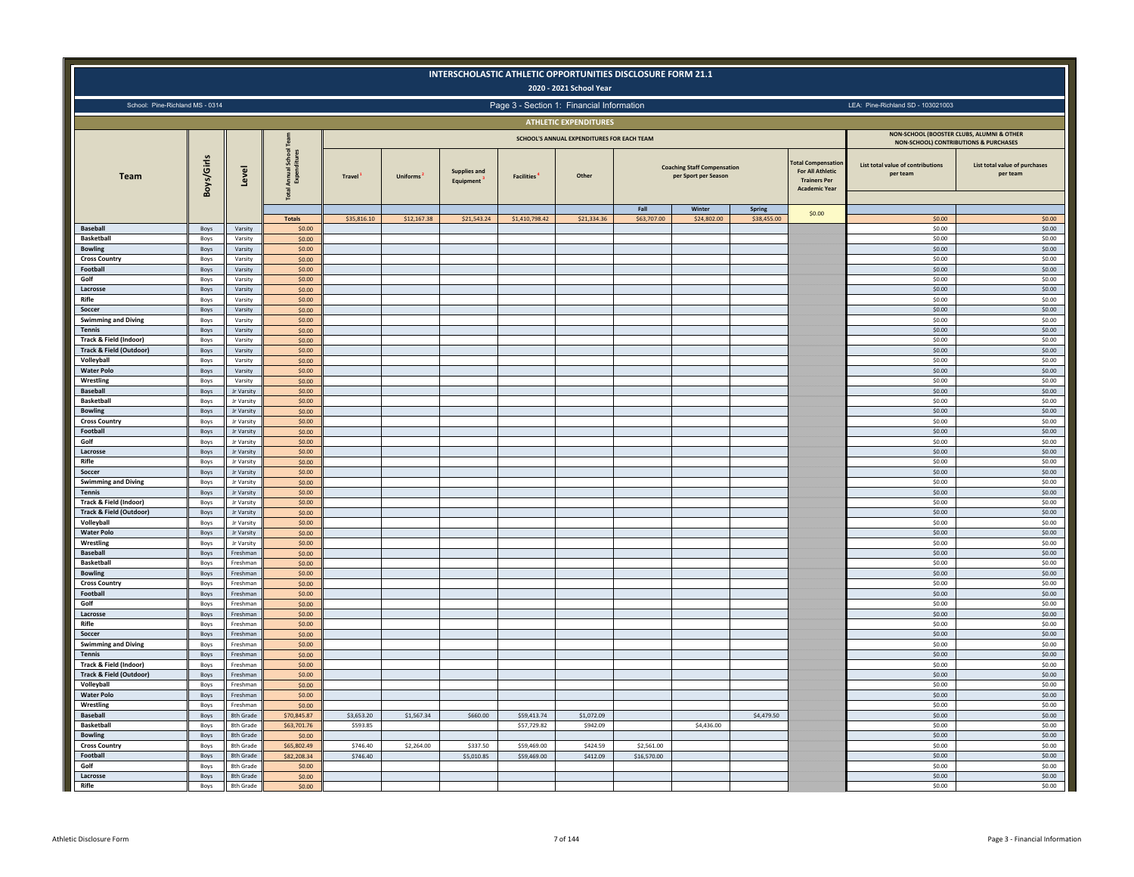|                                                              |              |                          |                                         |               |                 |                                  | INTERSCHOLASTIC ATHLETIC OPPORTUNITIES DISCLOSURE FORM 21.1 | 2020 - 2021 School Year                    |                     |                                                            |                       |                                                                                                     |                                                  |                                           |
|--------------------------------------------------------------|--------------|--------------------------|-----------------------------------------|---------------|-----------------|----------------------------------|-------------------------------------------------------------|--------------------------------------------|---------------------|------------------------------------------------------------|-----------------------|-----------------------------------------------------------------------------------------------------|--------------------------------------------------|-------------------------------------------|
| School: Pine-Richland MS - 0314                              |              |                          |                                         |               |                 |                                  | Page 3 - Section 1: Financial Information                   |                                            |                     |                                                            |                       |                                                                                                     | LEA: Pine-Richland SD - 103021003                |                                           |
|                                                              |              |                          |                                         |               |                 |                                  |                                                             | <b>ATHLETIC EXPENDITURES</b>               |                     |                                                            |                       |                                                                                                     |                                                  |                                           |
|                                                              |              |                          |                                         |               |                 |                                  |                                                             | SCHOOL'S ANNUAL EXPENDITURES FOR EACH TEAM |                     |                                                            |                       |                                                                                                     | <b>NON-SCHOOL) CONTRIBUTIONS &amp; PURCHASES</b> | NON-SCHOOL (BOOSTER CLUBS, ALUMNI & OTHER |
| <b>Team</b>                                                  | Boys/Girls   | Level                    | Schoo<br>Annual<br>Expen<br><b>Tota</b> | <b>Travel</b> | <b>Uniforms</b> | <b>Supplies and</b><br>Equipment | <b>Facilities</b> <sup>4</sup>                              | Other                                      |                     | <b>Coaching Staff Compensation</b><br>per Sport per Season |                       | <b>Total Compensation</b><br><b>For All Athletic</b><br><b>Trainers Per</b><br><b>Academic Year</b> | List total value of contributions<br>per team    | List total value of purchases<br>per team |
|                                                              |              |                          | <b>Totals</b>                           | \$35,816.10   | \$12,167.38     | \$21,543.24                      | \$1,410,798.42                                              | \$21,334.36                                | Fall<br>\$63,707.00 | Winter<br>\$24,802.00                                      | Spring<br>\$38,455.00 | \$0.00                                                                                              | \$0.00                                           | \$0.00                                    |
| <b>Baseball</b>                                              | Boys         | Varsity                  | \$0.00                                  |               |                 |                                  |                                                             |                                            |                     |                                                            |                       |                                                                                                     | \$0.00                                           | \$0.00                                    |
| <b>Basketball</b><br><b>Bowling</b>                          | Boys         | Varsity<br>Varsity       | \$0.00<br>\$0.00                        |               |                 |                                  |                                                             |                                            |                     |                                                            |                       |                                                                                                     | \$0.00<br>\$0.00                                 | \$0.00<br>\$0.00                          |
| <b>Cross Country</b>                                         | Boys<br>Boys | Varsity                  | \$0.00                                  |               |                 |                                  |                                                             |                                            |                     |                                                            |                       |                                                                                                     | \$0.00                                           | \$0.00                                    |
| Football                                                     | Boys         | Varsity                  | \$0.00                                  |               |                 |                                  |                                                             |                                            |                     |                                                            |                       |                                                                                                     | \$0.00                                           | \$0.00                                    |
| Golf                                                         | Boys         | Varsity                  | \$0.00                                  |               |                 |                                  |                                                             |                                            |                     |                                                            |                       |                                                                                                     | \$0.00                                           | \$0.00                                    |
| Lacrosse<br>Rifle                                            | Boys<br>Boys | Varsity<br>Varsity       | \$0.00<br>\$0.00                        |               |                 |                                  |                                                             |                                            |                     |                                                            |                       |                                                                                                     | \$0.00<br>\$0.00                                 | \$0.00<br>\$0.00                          |
| Soccer                                                       | Boys         | Varsity                  | \$0.00                                  |               |                 |                                  |                                                             |                                            |                     |                                                            |                       |                                                                                                     | \$0.00                                           | \$0.00                                    |
| <b>Swimming and Diving</b>                                   | Boys         | Varsity                  | \$0.00                                  |               |                 |                                  |                                                             |                                            |                     |                                                            |                       |                                                                                                     | \$0.00                                           | \$0.00                                    |
| <b>Tennis</b>                                                | Boys         | Varsity                  | \$0.00<br>\$0.00                        |               |                 |                                  |                                                             |                                            |                     |                                                            |                       |                                                                                                     | \$0.00                                           | \$0.00                                    |
| Track & Field (Indoor)<br><b>Track &amp; Field (Outdoor)</b> | Boys<br>Boys | Varsity<br>Varsity       | \$0.00                                  |               |                 |                                  |                                                             |                                            |                     |                                                            |                       |                                                                                                     | \$0.00<br>\$0.00                                 | \$0.00<br>\$0.00                          |
| Volleyball                                                   | Boys         | Varsity                  | \$0.00                                  |               |                 |                                  |                                                             |                                            |                     |                                                            |                       |                                                                                                     | \$0.00                                           | \$0.00                                    |
| <b>Water Polo</b>                                            | Boys         | Varsity                  | \$0.00                                  |               |                 |                                  |                                                             |                                            |                     |                                                            |                       |                                                                                                     | \$0.00                                           | \$0.00                                    |
| Wrestling                                                    | Boys         | Varsity                  | \$0.00                                  |               |                 |                                  |                                                             |                                            |                     |                                                            |                       |                                                                                                     | \$0.00                                           | \$0.00                                    |
| <b>Baseball</b><br><b>Basketball</b>                         | Boys<br>Boys | Jr Varsity<br>Jr Varsity | \$0.00<br>\$0.00                        |               |                 |                                  |                                                             |                                            |                     |                                                            |                       |                                                                                                     | \$0.00<br>\$0.00                                 | \$0.00<br>\$0.00                          |
| <b>Bowling</b>                                               | Boys         | Jr Varsity               | \$0.00                                  |               |                 |                                  |                                                             |                                            |                     |                                                            |                       |                                                                                                     | \$0.00                                           | \$0.00                                    |
| <b>Cross Country</b>                                         | Boys         | Jr Varsity               | \$0.00                                  |               |                 |                                  |                                                             |                                            |                     |                                                            |                       |                                                                                                     | \$0.00                                           | \$0.00                                    |
| Football                                                     | Boys         | Jr Varsity               | \$0.00                                  |               |                 |                                  |                                                             |                                            |                     |                                                            |                       |                                                                                                     | \$0.00                                           | \$0.00                                    |
| Golf<br>Lacrosse                                             | Boys<br>Boys | Jr Varsity<br>Jr Varsity | \$0.00<br>\$0.00                        |               |                 |                                  |                                                             |                                            |                     |                                                            |                       |                                                                                                     | \$0.00<br>\$0.00                                 | \$0.00<br>\$0.00                          |
| Rifle                                                        | Boys         | Jr Varsity               | \$0.00                                  |               |                 |                                  |                                                             |                                            |                     |                                                            |                       |                                                                                                     | \$0.00                                           | \$0.00                                    |
| Soccer                                                       | Boys         | Jr Varsity               | \$0.00                                  |               |                 |                                  |                                                             |                                            |                     |                                                            |                       |                                                                                                     | \$0.00                                           | \$0.00                                    |
| <b>Swimming and Diving</b>                                   | Boys         | Jr Varsity               | \$0.00                                  |               |                 |                                  |                                                             |                                            |                     |                                                            |                       |                                                                                                     | \$0.00                                           | \$0.00                                    |
| <b>Tennis</b><br>Track & Field (Indoor)                      | Boys<br>Boys | Jr Varsity<br>Jr Varsity | \$0.00<br>\$0.00                        |               |                 |                                  |                                                             |                                            |                     |                                                            |                       |                                                                                                     | \$0.00<br>\$0.00                                 | \$0.00<br>\$0.00                          |
| <b>Track &amp; Field (Outdoor)</b>                           | Boys         | Jr Varsity               | \$0.00                                  |               |                 |                                  |                                                             |                                            |                     |                                                            |                       |                                                                                                     | \$0.00                                           | \$0.00                                    |
| Volleyball                                                   | Boys         | Jr Varsity               | \$0.00                                  |               |                 |                                  |                                                             |                                            |                     |                                                            |                       |                                                                                                     | \$0.00                                           | \$0.00                                    |
| <b>Water Polo</b>                                            | Boys         | Jr Varsity               | \$0.00                                  |               |                 |                                  |                                                             |                                            |                     |                                                            |                       |                                                                                                     | \$0.00                                           | \$0.00                                    |
| Wrestling                                                    | Boys         | Jr Varsity               | \$0.00                                  |               |                 |                                  |                                                             |                                            |                     |                                                            |                       |                                                                                                     | \$0.00                                           | \$0.00                                    |
| <b>Baseball</b><br><b>Basketball</b>                         | Boys<br>Boys | Freshman<br>Freshma      | \$0.00<br>\$0.00                        |               |                 |                                  |                                                             |                                            |                     |                                                            |                       |                                                                                                     | \$0.00<br>\$0.00                                 | \$0.00<br>\$0.00                          |
| <b>Bowling</b>                                               | Boys         | Freshmar                 | \$0.00                                  |               |                 |                                  |                                                             |                                            |                     |                                                            |                       |                                                                                                     | \$0.00                                           | \$0.00                                    |
| <b>Cross Country</b>                                         | Boys         | Freshmar                 | \$0.00                                  |               |                 |                                  |                                                             |                                            |                     |                                                            |                       |                                                                                                     | \$0.00                                           | \$0.00                                    |
| Football                                                     | Boys         | Freshmar                 | \$0.00                                  |               |                 |                                  |                                                             |                                            |                     |                                                            |                       |                                                                                                     | \$0.00                                           | \$0.00                                    |
| Golf<br>Lacrosse                                             | Boys<br>Boys | Freshmar<br>Freshman     | \$0.00<br>\$0.00                        |               |                 |                                  |                                                             |                                            |                     |                                                            |                       |                                                                                                     | \$0.00<br>\$0.00                                 | \$0.00<br>\$0.00                          |
| Rifle                                                        | Boys         | Freshman                 | \$0.00                                  |               |                 |                                  |                                                             |                                            |                     |                                                            |                       |                                                                                                     | \$0.00                                           | \$0.00                                    |
| Soccer                                                       | Boys         | Freshman                 | \$0.00                                  |               |                 |                                  |                                                             |                                            |                     |                                                            |                       |                                                                                                     | \$0.00                                           | \$0.00                                    |
| <b>Swimming and Diving</b>                                   | Boys         | Freshman                 | \$0.00                                  |               |                 |                                  |                                                             |                                            |                     |                                                            |                       |                                                                                                     | \$0.00                                           | \$0.00                                    |
| Tennis<br>Track & Field (Indoor)                             | Boys         | Freshman<br>Freshmar     | \$0.00                                  |               |                 |                                  |                                                             |                                            |                     |                                                            |                       |                                                                                                     | \$0.00<br>\$0.00                                 | \$0.00<br>\$0.00                          |
| <b>Track &amp; Field (Outdoor)</b>                           | Boys<br>Boys | Freshman                 | \$0.00<br>\$0.00                        |               |                 |                                  |                                                             |                                            |                     |                                                            |                       |                                                                                                     | \$0.00                                           | \$0.00                                    |
| Volleyball                                                   | Boys         | Freshman                 | \$0.00                                  |               |                 |                                  |                                                             |                                            |                     |                                                            |                       |                                                                                                     | \$0.00                                           | \$0.00                                    |
| <b>Water Polo</b>                                            | Boys         | Freshmar                 | \$0.00                                  |               |                 |                                  |                                                             |                                            |                     |                                                            |                       |                                                                                                     | \$0.00                                           | \$0.00                                    |
| Wrestling<br><b>Baseball</b>                                 | Boys<br>Boys | Freshmar<br>8th Grade    | \$0.00<br>\$70,845.87                   | \$3,653,20    | \$1,567.34      | \$660,00                         | \$59,413.74                                                 | \$1,072.09                                 |                     |                                                            | \$4,479.50            |                                                                                                     | \$0.00<br>\$0.00                                 | \$0.00<br>\$0.00                          |
| <b>Basketball</b>                                            | Boys         | 8th Grade                | \$63,701.76                             | \$593.85      |                 |                                  | \$57,729.82                                                 | \$942.09                                   |                     | \$4,436.00                                                 |                       |                                                                                                     | \$0.00                                           | \$0.00                                    |
| <b>Bowling</b>                                               | Boys         | 8th Grade                | \$0.00                                  |               |                 |                                  |                                                             |                                            |                     |                                                            |                       |                                                                                                     | \$0.00                                           | \$0.00                                    |
| <b>Cross Country</b>                                         | Boys         | 8th Grade                | \$65,802.49                             | \$746.40      | \$2,264.00      | \$337.50                         | \$59,469.00                                                 | \$424.59                                   | \$2,561.00          |                                                            |                       |                                                                                                     | \$0.00                                           | \$0.00                                    |
| Football                                                     | Boys         | 8th Grade                | \$82,208.34                             | \$746.40      |                 | \$5,010.85                       | \$59,469.00                                                 | \$412.09                                   | \$16,570.00         |                                                            |                       |                                                                                                     | \$0.00                                           | \$0.00                                    |
| Golf<br>Lacrosse                                             | Boys<br>Boys | 8th Grade<br>8th Grade   | \$0.00<br>\$0.00                        |               |                 |                                  |                                                             |                                            |                     |                                                            |                       |                                                                                                     | \$0.00<br>\$0.00                                 | \$0.00<br>\$0.00                          |
| Rifle                                                        | Boys         | 8th Grade                | \$0.00                                  |               |                 |                                  |                                                             |                                            |                     |                                                            |                       |                                                                                                     | \$0.00                                           | \$0.00                                    |
|                                                              |              |                          |                                         |               |                 |                                  |                                                             |                                            |                     |                                                            |                       |                                                                                                     |                                                  |                                           |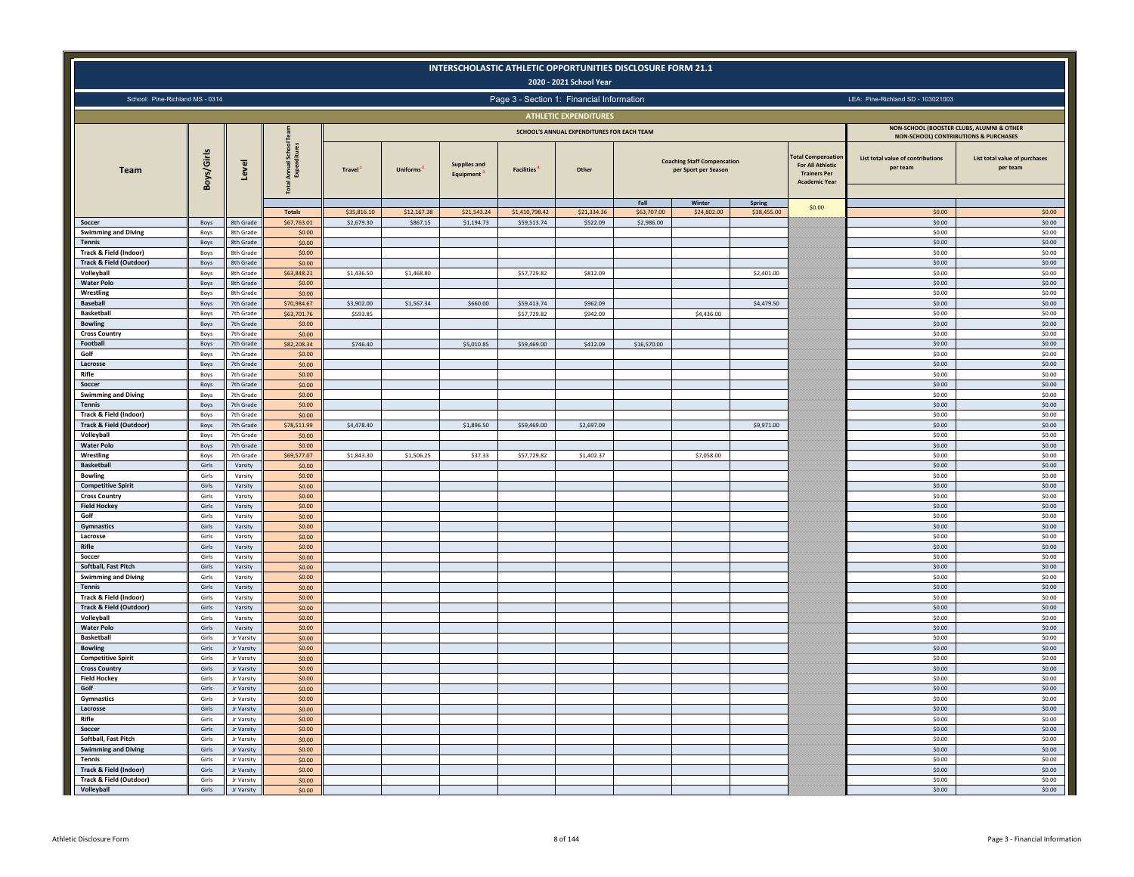|                                                              |                |                               |                                               |                     |                 |                                  |                                           | 2020 - 2021 School Year                    | INTERSCHOLASTIC ATHLETIC OPPORTUNITIES DISCLOSURE FORM 21.1 |                                                            |                       |                                                                                                     |                                                                                               |                                           |
|--------------------------------------------------------------|----------------|-------------------------------|-----------------------------------------------|---------------------|-----------------|----------------------------------|-------------------------------------------|--------------------------------------------|-------------------------------------------------------------|------------------------------------------------------------|-----------------------|-----------------------------------------------------------------------------------------------------|-----------------------------------------------------------------------------------------------|-------------------------------------------|
| School: Pine-Richland MS - 0314                              |                |                               |                                               |                     |                 |                                  | Page 3 - Section 1: Financial Information |                                            |                                                             |                                                            |                       |                                                                                                     | LEA: Pine-Richland SD - 103021003                                                             |                                           |
|                                                              |                |                               |                                               |                     |                 |                                  |                                           | <b>ATHLETIC EXPENDITURES</b>               |                                                             |                                                            |                       |                                                                                                     |                                                                                               |                                           |
|                                                              |                |                               |                                               |                     |                 |                                  |                                           | SCHOOL'S ANNUAL EXPENDITURES FOR EACH TEAM |                                                             |                                                            |                       |                                                                                                     | NON-SCHOOL (BOOSTER CLUBS, ALUMNI & OTHER<br><b>NON-SCHOOL) CONTRIBUTIONS &amp; PURCHASES</b> |                                           |
| <b>Team</b>                                                  | Boys/Girls     | Level                         | Annual School<br>Expenditures<br><b>Total</b> | Travel <sup>1</sup> | <b>Uniforms</b> | <b>Supplies and</b><br>Equipment | <b>Facilities</b>                         | Other                                      |                                                             | <b>Coaching Staff Compensation</b><br>per Sport per Season |                       | <b>Total Compensation</b><br><b>For All Athletic</b><br><b>Trainers Per</b><br><b>Academic Year</b> | List total value of contributions<br>per team                                                 | List total value of purchases<br>per team |
|                                                              |                |                               | <b>Totals</b>                                 | \$35,816.10         | \$12,167.38     | \$21,543.24                      | \$1,410,798.42                            | \$21,334.36                                | Fall<br>\$63,707.00                                         | Winter<br>\$24,802.00                                      | Spring<br>\$38,455.00 | \$0.00                                                                                              | \$0.00                                                                                        | \$0.00                                    |
| Soccer                                                       | Boys           | 8th Grade                     | \$67,763.01                                   | \$2,679.30          | \$867.15        | \$1,194.73                       | \$59,513.74                               | \$522.09                                   | \$2,986.00                                                  |                                                            |                       |                                                                                                     | \$0.00                                                                                        | \$0.00                                    |
| <b>Swimming and Diving</b>                                   | Boys           | 8th Grade                     | \$0.00                                        |                     |                 |                                  |                                           |                                            |                                                             |                                                            |                       |                                                                                                     | \$0.00                                                                                        | \$0.00                                    |
| <b>Tennis</b><br>Track & Field (Indoor)                      | Boys<br>Boys   | 8th Grade<br>8th Grade        | \$0.00<br>\$0.00                              |                     |                 |                                  |                                           |                                            |                                                             |                                                            |                       |                                                                                                     | \$0.00<br>\$0.00                                                                              | \$0.00<br>\$0.00                          |
| <b>Track &amp; Field (Outdoor)</b>                           | Boys           | 8th Grade                     | \$0.00                                        |                     |                 |                                  |                                           |                                            |                                                             |                                                            |                       |                                                                                                     | \$0.00                                                                                        | \$0.00                                    |
| Volleyball                                                   | Boys           | 8th Grade                     | \$63,848.21                                   | \$1,436.50          | \$1,468.80      |                                  | \$57,729.82                               | \$812.09                                   |                                                             |                                                            | \$2,401.00            |                                                                                                     | \$0.00                                                                                        | \$0.00                                    |
| <b>Water Polo</b><br>Wrestling                               | Boys           | 8th Grade<br><b>8th Grade</b> | \$0.00                                        |                     |                 |                                  |                                           |                                            |                                                             |                                                            |                       |                                                                                                     | \$0.00<br>\$0.00                                                                              | \$0.00<br>\$0.00                          |
| Baseball                                                     | Boys<br>Boys   | 7th Grade                     | \$0.00<br>\$70,984.67                         | \$3,902.00          | \$1,567.34      | \$660.00                         | \$59,413.74                               | \$962.09                                   |                                                             |                                                            | \$4,479.50            |                                                                                                     | \$0.00                                                                                        | \$0.00                                    |
| <b>Basketball</b>                                            | Boys           | 7th Grade                     | \$63,701.76                                   | \$593.85            |                 |                                  | \$57,729.82                               | \$942.09                                   |                                                             | \$4,436.00                                                 |                       |                                                                                                     | \$0.00                                                                                        | \$0.00                                    |
| <b>Bowling</b>                                               | Boys           | 7th Grade                     | \$0.00                                        |                     |                 |                                  |                                           |                                            |                                                             |                                                            |                       |                                                                                                     | \$0.00                                                                                        | \$0.00                                    |
| <b>Cross Country</b>                                         | Boys           | 7th Grade                     | \$0.00                                        |                     |                 |                                  |                                           |                                            |                                                             |                                                            |                       |                                                                                                     | \$0.00                                                                                        | \$0.00                                    |
| Football<br>Golf                                             | Boys<br>Boys   | 7th Grade<br>7th Grade        | \$82,208.34<br>\$0.00                         | \$746.40            |                 | \$5,010.85                       | \$59,469.00                               | \$412.09                                   | \$16,570.00                                                 |                                                            |                       |                                                                                                     | \$0.00<br>\$0.00                                                                              | \$0.00<br>\$0.00                          |
| Lacrosse                                                     | Boys           | 7th Grade                     | \$0.00                                        |                     |                 |                                  |                                           |                                            |                                                             |                                                            |                       |                                                                                                     | \$0.00                                                                                        | \$0.00                                    |
| Rifle                                                        | Boys           | 7th Grade                     | \$0.00                                        |                     |                 |                                  |                                           |                                            |                                                             |                                                            |                       |                                                                                                     | \$0.00                                                                                        | \$0.00                                    |
| Soccer                                                       | Boys           | 7th Grade                     | \$0.00                                        |                     |                 |                                  |                                           |                                            |                                                             |                                                            |                       |                                                                                                     | \$0.00                                                                                        | \$0.00                                    |
| <b>Swimming and Diving</b>                                   | Boys           | 7th Grade                     | \$0.00                                        |                     |                 |                                  |                                           |                                            |                                                             |                                                            |                       |                                                                                                     | \$0.00                                                                                        | \$0.00                                    |
| <b>Tennis</b>                                                | Boys           | 7th Grade                     | \$0.00                                        |                     |                 |                                  |                                           |                                            |                                                             |                                                            |                       |                                                                                                     | \$0.00                                                                                        | \$0.00                                    |
| Track & Field (Indoor)<br><b>Track &amp; Field (Outdoor)</b> | Boys<br>Boys   | 7th Grade<br>7th Grade        | \$0.00<br>\$78,511.99                         | \$4,478.40          |                 | \$1,896.50                       | \$59,469.00                               | \$2,697.09                                 |                                                             |                                                            | \$9,971.00            |                                                                                                     | \$0.00<br>\$0.00                                                                              | \$0.00<br>\$0.00                          |
| Volleyball                                                   | Boys           | 7th Grade                     | \$0.00                                        |                     |                 |                                  |                                           |                                            |                                                             |                                                            |                       |                                                                                                     | \$0.00                                                                                        | \$0.00                                    |
| <b>Water Polo</b>                                            | Boys           | 7th Grade                     | \$0.00                                        |                     |                 |                                  |                                           |                                            |                                                             |                                                            |                       |                                                                                                     | \$0.00                                                                                        | \$0.00                                    |
| Wrestling                                                    | Boys           | 7th Grade                     | \$69,577.07                                   | \$1,843.30          | \$1,506.25      | \$37.33                          | \$57,729.82                               | \$1,402.37                                 |                                                             | \$7,058.00                                                 |                       |                                                                                                     | \$0.00                                                                                        | \$0.00                                    |
| Basketball                                                   | Girls          | Varsity                       | \$0.00                                        |                     |                 |                                  |                                           |                                            |                                                             |                                                            |                       |                                                                                                     | \$0.00                                                                                        | \$0.00                                    |
| <b>Bowling</b><br><b>Competitive Spirit</b>                  | Girls<br>Girls | Varsity<br>Varsity            | \$0.00<br>\$0.00                              |                     |                 |                                  |                                           |                                            |                                                             |                                                            |                       |                                                                                                     | \$0.00<br>\$0.00                                                                              | \$0.00<br>\$0.00                          |
| <b>Cross Country</b>                                         | Girls          | Varsity                       | \$0.00                                        |                     |                 |                                  |                                           |                                            |                                                             |                                                            |                       |                                                                                                     | \$0.00                                                                                        | \$0.00                                    |
| <b>Field Hockey</b>                                          | Girls          | Varsity                       | \$0.00                                        |                     |                 |                                  |                                           |                                            |                                                             |                                                            |                       |                                                                                                     | \$0.00                                                                                        | \$0.00                                    |
| Golf                                                         | Girls          | Varsity                       | \$0.00                                        |                     |                 |                                  |                                           |                                            |                                                             |                                                            |                       |                                                                                                     | \$0.00                                                                                        | \$0.00                                    |
| Gymnastics                                                   | Girls          | Varsity                       | \$0.00                                        |                     |                 |                                  |                                           |                                            |                                                             |                                                            |                       |                                                                                                     | \$0.00                                                                                        | \$0.00                                    |
| Lacrosse<br>Rifle                                            | Girls          | Varsity                       | \$0.00                                        |                     |                 |                                  |                                           |                                            |                                                             |                                                            |                       |                                                                                                     | \$0.00                                                                                        | \$0.00                                    |
| Soccer                                                       | Girls<br>Girls | Varsity<br>Varsity            | \$0.00<br>\$0.00                              |                     |                 |                                  |                                           |                                            |                                                             |                                                            |                       |                                                                                                     | \$0.00<br>\$0.00                                                                              | \$0.00<br>\$0.00                          |
| Softball, Fast Pitch                                         | Girls          | Varsity                       | \$0.00                                        |                     |                 |                                  |                                           |                                            |                                                             |                                                            |                       |                                                                                                     | \$0.00                                                                                        | \$0.00                                    |
| <b>Swimming and Diving</b>                                   | Girls          | Varsity                       | \$0.00                                        |                     |                 |                                  |                                           |                                            |                                                             |                                                            |                       |                                                                                                     | \$0.00                                                                                        | \$0.00                                    |
| Tennis                                                       | Girls          | Varsity                       | \$0.00                                        |                     |                 |                                  |                                           |                                            |                                                             |                                                            |                       |                                                                                                     | \$0.00                                                                                        | \$0.00                                    |
| Track & Field (Indoor)                                       | Girls          | Varsity                       | \$0.00                                        |                     |                 |                                  |                                           |                                            |                                                             |                                                            |                       |                                                                                                     | \$0.00                                                                                        | \$0.00                                    |
| <b>Track &amp; Field (Outdoor)</b><br>Volleyball             | Girls<br>Girls | Varsity<br>Varsity            | \$0.00<br>\$0.00                              |                     |                 |                                  |                                           |                                            |                                                             |                                                            |                       |                                                                                                     | \$0.00<br>\$0.00                                                                              | \$0.00<br>\$0.00                          |
| <b>Water Polo</b>                                            | Girls          | Varsity                       | \$0.00                                        |                     |                 |                                  |                                           |                                            |                                                             |                                                            |                       |                                                                                                     | \$0.00                                                                                        | \$0.00                                    |
| <b>Basketball</b>                                            | Girls          | Jr Varsity                    | \$0,00                                        |                     |                 |                                  |                                           |                                            |                                                             |                                                            |                       |                                                                                                     | \$0.00                                                                                        | \$0.00                                    |
| <b>Bowling</b>                                               | Girls          | Jr Varsity                    | \$0.00                                        |                     |                 |                                  |                                           |                                            |                                                             |                                                            |                       |                                                                                                     | \$0.00                                                                                        | \$0.00                                    |
| <b>Competitive Spirit</b>                                    | Girls          | Jr Varsity                    | \$0.00                                        |                     |                 |                                  |                                           |                                            |                                                             |                                                            |                       |                                                                                                     | \$0.00                                                                                        | \$0.00                                    |
| <b>Cross Country</b>                                         | Girls          | Jr Varsity                    | \$0.00                                        |                     |                 |                                  |                                           |                                            |                                                             |                                                            |                       |                                                                                                     | \$0.00                                                                                        | \$0.00                                    |
| <b>Field Hockey</b><br>Golf                                  | Girls<br>Girls | Jr Varsity<br>Jr Varsity      | \$0.00<br>\$0.00                              |                     |                 |                                  |                                           |                                            |                                                             |                                                            |                       |                                                                                                     | \$0.00<br>\$0.00                                                                              | \$0.00<br>\$0.00                          |
| Gymnastics                                                   | Girls          | Jr Varsity                    | \$0.00                                        |                     |                 |                                  |                                           |                                            |                                                             |                                                            |                       |                                                                                                     | \$0.00                                                                                        | \$0.00                                    |
| Lacrosse                                                     | Girls          | Jr Varsity                    | \$0.00                                        |                     |                 |                                  |                                           |                                            |                                                             |                                                            |                       |                                                                                                     | \$0.00                                                                                        | \$0.00                                    |
| Rifle                                                        | Girls          | Jr Varsity                    | \$0.00                                        |                     |                 |                                  |                                           |                                            |                                                             |                                                            |                       |                                                                                                     | \$0.00                                                                                        | \$0.00                                    |
| Soccer                                                       | Girls          | Jr Varsity                    | \$0.00                                        |                     |                 |                                  |                                           |                                            |                                                             |                                                            |                       |                                                                                                     | \$0.00                                                                                        | \$0.00                                    |
| Softball, Fast Pitch<br><b>Swimming and Diving</b>           | Girls<br>Girls | Jr Varsity<br>Jr Varsity      | \$0.00<br>\$0.00                              |                     |                 |                                  |                                           |                                            |                                                             |                                                            |                       |                                                                                                     | \$0.00<br>\$0.00                                                                              | \$0.00<br>\$0.00                          |
| <b>Tennis</b>                                                | Girls          | Jr Varsity                    | \$0.00                                        |                     |                 |                                  |                                           |                                            |                                                             |                                                            |                       |                                                                                                     | \$0.00                                                                                        | \$0.00                                    |
| <b>Track &amp; Field (Indoor)</b>                            | Girls          | Jr Varsity                    | \$0.00                                        |                     |                 |                                  |                                           |                                            |                                                             |                                                            |                       |                                                                                                     | \$0.00                                                                                        | \$0.00                                    |
| Track & Field (Outdoor)                                      | Girls          | Jr Varsity                    | \$0.00                                        |                     |                 |                                  |                                           |                                            |                                                             |                                                            |                       |                                                                                                     | \$0.00                                                                                        | \$0.00                                    |
| Volleyball                                                   | Girls          | Jr Varsity                    | \$0.00                                        |                     |                 |                                  |                                           |                                            |                                                             |                                                            |                       |                                                                                                     | \$0.00                                                                                        | \$0.00                                    |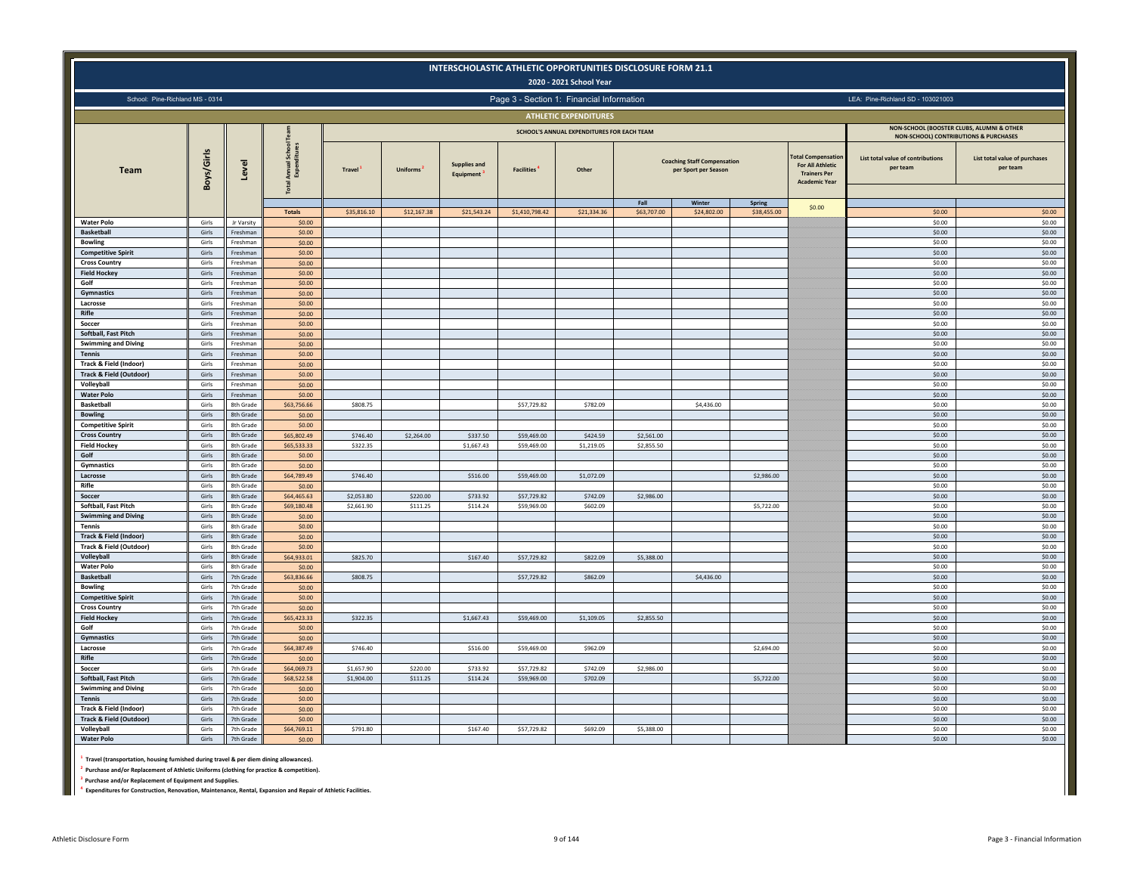|                                                  |                |                        |                             |                          |                      | INTERSCHOLASTIC ATHLETIC OPPORTUNITIES DISCLOSURE FORM 21.1 |                            | 2020 - 2021 School Year                    |             |                                                                      |               |                                                                                                       |                                                                                    |                                           |
|--------------------------------------------------|----------------|------------------------|-----------------------------|--------------------------|----------------------|-------------------------------------------------------------|----------------------------|--------------------------------------------|-------------|----------------------------------------------------------------------|---------------|-------------------------------------------------------------------------------------------------------|------------------------------------------------------------------------------------|-------------------------------------------|
| School: Pine-Richland MS - 0314                  |                |                        |                             |                          |                      |                                                             |                            | Page 3 - Section 1: Financial Information  |             |                                                                      |               |                                                                                                       | LEA: Pine-Richland SD - 103021003                                                  |                                           |
|                                                  |                |                        |                             |                          |                      |                                                             |                            | <b>ATHLETIC EXPENDITURES</b>               |             |                                                                      |               |                                                                                                       |                                                                                    |                                           |
|                                                  |                |                        |                             |                          |                      |                                                             |                            | SCHOOL'S ANNUAL EXPENDITURES FOR EACH TEAM |             |                                                                      |               |                                                                                                       | NON-SCHOOL (BOOSTER CLUBS, ALUMNI & OTHER<br>NON-SCHOOL) CONTRIBUTIONS & PURCHASES |                                           |
| <b>Team</b>                                      | Boys/Girls     | Level                  | School<br>Annual:<br>Expenc | Travel <sup>1</sup>      | <b>Uniforms</b>      | <b>Supplies and</b><br>Equipment                            | <b>Facilities</b>          | Other                                      | Fall        | <b>Coaching Staff Compensation</b><br>per Sport per Season<br>Winter | <b>Spring</b> | otal Compensation<br><b>For All Athletic</b><br><b>Trainers Per</b><br><b>Academic Year</b><br>\$0.00 | List total value of contributions<br>per team                                      | List total value of purchases<br>per team |
|                                                  |                |                        | <b>Totals</b>               | \$35,816.10              | \$12,167.38          | \$21,543.24                                                 | \$1,410,798.42             | \$21,334.36                                | \$63,707.00 | \$24,802.00                                                          | \$38,455.00   |                                                                                                       | \$0.00                                                                             | \$0.00                                    |
| <b>Water Polo</b><br><b>Basketball</b>           | Girls<br>Girls | Jr Varsity<br>Freshman | \$0.00<br>\$0.00            |                          |                      |                                                             |                            |                                            |             |                                                                      |               |                                                                                                       | \$0.00<br>\$0.00                                                                   | \$0.00<br>\$0.00                          |
| <b>Bowling</b>                                   | Girls          | Freshman               | \$0.00                      |                          |                      |                                                             |                            |                                            |             |                                                                      |               |                                                                                                       | \$0.00                                                                             | \$0.00                                    |
| <b>Competitive Spirit</b>                        | Girls          | Freshman               | \$0.00                      |                          |                      |                                                             |                            |                                            |             |                                                                      |               |                                                                                                       | \$0.00                                                                             | \$0.00                                    |
| <b>Cross Country</b>                             | Girls          | Freshman               | \$0.00                      |                          |                      |                                                             |                            |                                            |             |                                                                      |               |                                                                                                       | \$0.00                                                                             | \$0.00                                    |
| <b>Field Hockey</b>                              | Girls          | Ereshman               | \$0.00                      |                          |                      |                                                             |                            |                                            |             |                                                                      |               |                                                                                                       | \$0.00                                                                             | \$0.00                                    |
| Golf<br>Gymnastics                               | Girls<br>Girls | Freshman<br>Freshman   | \$0.00<br>\$0.00            |                          |                      |                                                             |                            |                                            |             |                                                                      |               |                                                                                                       | \$0.00<br>\$0.00                                                                   | \$0.00<br>\$0.00                          |
| Lacrosse                                         | Girls          | Freshmar               | \$0.00                      |                          |                      |                                                             |                            |                                            |             |                                                                      |               |                                                                                                       | \$0.00                                                                             | \$0.00                                    |
| Rifle                                            | Girls          | Freshman               | \$0.00                      |                          |                      |                                                             |                            |                                            |             |                                                                      |               |                                                                                                       | \$0.00                                                                             | \$0.00                                    |
| Soccer                                           | Girls          | Freshman               | \$0.00                      |                          |                      |                                                             |                            |                                            |             |                                                                      |               |                                                                                                       | \$0.00                                                                             | \$0.00                                    |
| Softball, Fast Pitch                             | Girls          | Freshman               | \$0.00                      |                          |                      |                                                             |                            |                                            |             |                                                                      |               |                                                                                                       | \$0.00                                                                             | \$0.00                                    |
| <b>Swimming and Diving</b><br>Tennis             | Girls<br>Girls | Freshman<br>Freshman   | \$0.00<br>\$0.00            |                          |                      |                                                             |                            |                                            |             |                                                                      |               |                                                                                                       | \$0.00<br>\$0.00                                                                   | \$0.00<br>\$0.00                          |
| Track & Field (Indoor)                           | Girls          | Ereshmar               | \$0.00                      |                          |                      |                                                             |                            |                                            |             |                                                                      |               |                                                                                                       | \$0.00                                                                             | \$0.00                                    |
| <b>Track &amp; Field (Outdoor)</b>               | Girls          | Freshman               | \$0.00                      |                          |                      |                                                             |                            |                                            |             |                                                                      |               |                                                                                                       | \$0.00                                                                             | \$0.00                                    |
| Volleyball                                       | Girls          | Freshman               | \$0.00                      |                          |                      |                                                             |                            |                                            |             |                                                                      |               |                                                                                                       | \$0.00                                                                             | \$0.00                                    |
| <b>Water Polo</b>                                | Girls          | Ereshman               | \$0.00                      |                          |                      |                                                             |                            |                                            |             |                                                                      |               |                                                                                                       | \$0.00                                                                             | \$0.00                                    |
| <b>Basketball</b><br><b>Bowling</b>              | Girls<br>Girls | 8th Grade<br>8th Grade | \$63,756.66<br>\$0.00       | \$808.75                 |                      |                                                             | \$57,729.82                | \$782.09                                   |             | \$4,436.00                                                           |               |                                                                                                       | \$0.00<br>\$0.00                                                                   | \$0.00<br>\$0.00                          |
| <b>Competitive Spirit</b>                        | Girls          | 8th Grade              | \$0.00                      |                          |                      |                                                             |                            |                                            |             |                                                                      |               |                                                                                                       | \$0.00                                                                             | \$0.00                                    |
| <b>Cross Country</b>                             | Girls          | 8th Grade              | \$65,802.49                 | \$746.40                 | \$2,264.00           | \$337.50                                                    | \$59,469.00                | \$424.59                                   | \$2,561.00  |                                                                      |               |                                                                                                       | \$0.00                                                                             | \$0.00                                    |
| <b>Field Hockey</b>                              | Girls          | 8th Grade              | \$65,533.33                 | \$322.35                 |                      | \$1,667.43                                                  | \$59,469.00                | \$1,219.05                                 | \$2,855.50  |                                                                      |               |                                                                                                       | \$0.00                                                                             | \$0.00                                    |
| Golf                                             | Girls          | 8th Grade              | \$0.00                      |                          |                      |                                                             |                            |                                            |             |                                                                      |               |                                                                                                       | \$0.00                                                                             | \$0.00                                    |
| Gymnastics                                       | Girls<br>Girls | 8th Grade<br>8th Grade | \$0.00                      |                          |                      |                                                             |                            |                                            |             |                                                                      |               |                                                                                                       | \$0.00<br>\$0.00                                                                   | \$0.00                                    |
| Lacrosse<br>Rifle                                | Girls          | 8th Grade              | \$64,789.49<br>\$0.00       | \$746.40                 |                      | \$516.00                                                    | \$59,469.00                | \$1,072.09                                 |             |                                                                      | \$2,986.00    |                                                                                                       | \$0.00                                                                             | \$0.00<br>\$0.00                          |
| Soccer                                           | Girls          | 8th Grade              | \$64,465.63                 | \$2,053.80               | \$220.00             | \$733.92                                                    | \$57,729.82                | \$742.09                                   | \$2,986.00  |                                                                      |               |                                                                                                       | \$0.00                                                                             | \$0.00                                    |
| Softball, Fast Pitch                             | Girls          | 8th Grade              | \$69,180.48                 | \$2,661.90               | \$111.25             | \$114.24                                                    | \$59,969.00                | \$602.09                                   |             |                                                                      | \$5,722.00    |                                                                                                       | \$0.00                                                                             | \$0.00                                    |
| <b>Swimming and Diving</b>                       | Girls          | 8th Grade              | \$0.00                      |                          |                      |                                                             |                            |                                            |             |                                                                      |               |                                                                                                       | \$0.00                                                                             | \$0.00                                    |
| Tennis                                           | Girls          | 8th Grade              | \$0.00                      |                          |                      |                                                             |                            |                                            |             |                                                                      |               |                                                                                                       | \$0.00                                                                             | \$0.00                                    |
| Track & Field (Indoor)                           | Girls          | 8th Grade              | \$0.00                      |                          |                      |                                                             |                            |                                            |             |                                                                      |               |                                                                                                       | \$0.00                                                                             | \$0.00                                    |
| <b>Track &amp; Field (Outdoor)</b><br>Volleyball | Girls<br>Girls | 8th Grade<br>8th Grade | \$0.00<br>\$64,933.01       | \$825.70                 |                      | \$167.40                                                    | \$57,729.82                | \$822.09                                   | \$5,388.00  |                                                                      |               |                                                                                                       | \$0.00<br>\$0.00                                                                   | \$0.00<br>\$0.00                          |
| <b>Water Polo</b>                                | Girls          | 8th Grade              | \$0.00                      |                          |                      |                                                             |                            |                                            |             |                                                                      |               |                                                                                                       | \$0.00                                                                             | \$0.00                                    |
| <b>Basketball</b>                                | Girls          | 7th Grade              | \$63,836.66                 | \$808.75                 |                      |                                                             | \$57,729.82                | \$862.09                                   |             | \$4,436.00                                                           |               |                                                                                                       | \$0.00                                                                             | \$0.00                                    |
| <b>Bowling</b>                                   | Girls          | 7th Grade              | \$0.00                      |                          |                      |                                                             |                            |                                            |             |                                                                      |               |                                                                                                       | \$0.00                                                                             | \$0.00                                    |
| <b>Competitive Spirit</b>                        | Girls          | 7th Grade              | \$0.00<br>\$0.00            |                          |                      |                                                             |                            |                                            |             |                                                                      |               |                                                                                                       | \$0.00<br>\$0.00                                                                   | \$0.00<br>\$0.00                          |
| <b>Cross Country</b><br><b>Field Hockey</b>      | Girls<br>Girls | 7th Grade<br>7th Grade | \$65,423.33                 | \$322.35                 |                      | \$1,667.43                                                  | \$59,469.00                | \$1,109.05                                 | \$2,855.50  |                                                                      |               |                                                                                                       | \$0.00                                                                             | \$0.00                                    |
| Golf                                             | Girls          | 7th Grade              | \$0.00                      |                          |                      |                                                             |                            |                                            |             |                                                                      |               |                                                                                                       | \$0.00                                                                             | \$0.00                                    |
| Gymnastics                                       | Girls          | 7th Grade              | \$0.00                      |                          |                      |                                                             |                            |                                            |             |                                                                      |               |                                                                                                       | \$0.00                                                                             | \$0.00                                    |
| Lacrosse                                         | Girls          | 7th Grade              | \$64,387.49                 | \$746.40                 |                      | \$516.00                                                    | \$59,469.00                | \$962.09                                   |             |                                                                      | \$2,694.00    |                                                                                                       | \$0.00                                                                             | \$0.00                                    |
| Rifle                                            | Girls          | 7th Grade              | \$0.00                      |                          |                      |                                                             |                            |                                            |             |                                                                      |               |                                                                                                       | \$0.00                                                                             | \$0.00                                    |
| Soccer<br>Softball, Fast Pitch                   | Girls          | 7th Grade<br>7th Grade | \$64,069.73<br>\$68,522.58  | \$1,657.90<br>\$1,904.00 | \$220.00<br>\$111.25 | \$733.92<br>\$114.24                                        | \$57,729.82<br>\$59,969.00 | \$742.09<br>\$702.09                       | \$2,986.00  |                                                                      | \$5,722.00    |                                                                                                       | \$0.00<br>\$0.00                                                                   | \$0.00<br>\$0.00                          |
| <b>Swimming and Diving</b>                       | Girls<br>Girls | 7th Grade              | \$0.00                      |                          |                      |                                                             |                            |                                            |             |                                                                      |               |                                                                                                       | \$0.00                                                                             | \$0.00                                    |
| <b>Tennis</b>                                    | Girls          | 7th Grade              | \$0.00                      |                          |                      |                                                             |                            |                                            |             |                                                                      |               |                                                                                                       | \$0.00                                                                             | \$0.00                                    |
| Track & Field (Indoor)                           | Girls          | 7th Grade              | \$0.00                      |                          |                      |                                                             |                            |                                            |             |                                                                      |               |                                                                                                       | \$0.00                                                                             | \$0.00                                    |
| <b>Track &amp; Field (Outdoor)</b>               | Girls          | 7th Grade              | \$0.00                      |                          |                      |                                                             |                            |                                            |             |                                                                      |               |                                                                                                       | \$0.00                                                                             | \$0.00                                    |
| Volleyball                                       | Girls          | 7th Grade              | \$64,769.11                 | \$791.80                 |                      | \$167.40                                                    | \$57,729.82                | \$692.09                                   | \$5,388.00  |                                                                      |               |                                                                                                       | \$0.00                                                                             | \$0.00                                    |
| <b>Water Polo</b>                                | Girls          | 7th Grade              | \$0.00                      |                          |                      |                                                             |                            |                                            |             |                                                                      |               |                                                                                                       | \$0.00                                                                             | \$0.00                                    |

**1 Travel (transportation, housing furnished during travel & per diem dining allowances).**

**2 Purchase and/or Replacement of Athletic Uniforms (clothing for practice & competition).**

**3 Purchase and/or Replacement of Equipment and Supplies.**

**4 Expenditures for Construction, Renovation, Maintenance, Rental, Expansion and Repair of Athletic Facilities.**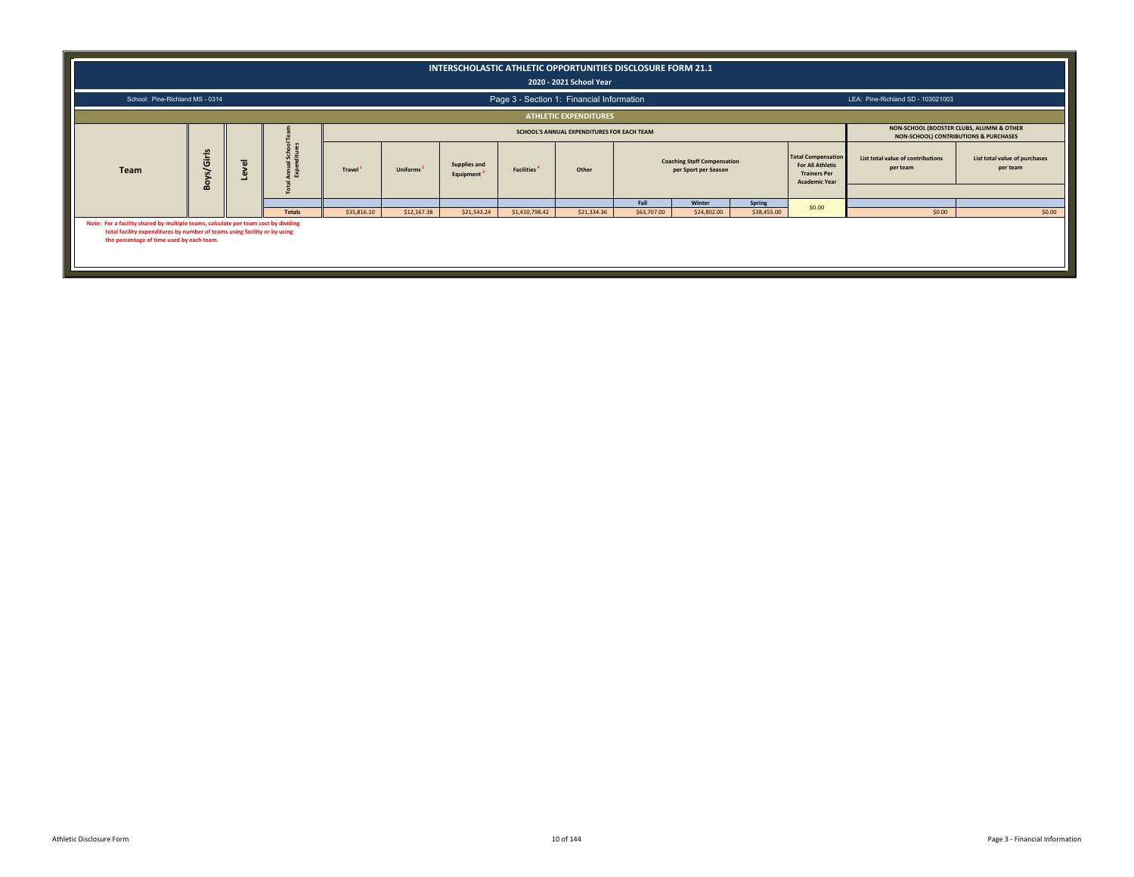|                                                                                                                                                                                                              |                                                                                                                                                                                                                                                                                                            |  |               |             |             | INTERSCHOLASTIC ATHLETIC OPPORTUNITIES DISCLOSURE FORM 21.1 |                | 2020 - 2021 School Year                   |             |             |             |        |                                   |        |  |
|--------------------------------------------------------------------------------------------------------------------------------------------------------------------------------------------------------------|------------------------------------------------------------------------------------------------------------------------------------------------------------------------------------------------------------------------------------------------------------------------------------------------------------|--|---------------|-------------|-------------|-------------------------------------------------------------|----------------|-------------------------------------------|-------------|-------------|-------------|--------|-----------------------------------|--------|--|
| School: Pine-Richland MS - 0314                                                                                                                                                                              |                                                                                                                                                                                                                                                                                                            |  |               |             |             |                                                             |                | Page 3 - Section 1: Financial Information |             |             |             |        | LEA: Pine-Richland SD - 103021003 |        |  |
|                                                                                                                                                                                                              |                                                                                                                                                                                                                                                                                                            |  |               |             |             |                                                             |                | <b>ATHLETIC EXPENDITURES</b>              |             |             |             |        |                                   |        |  |
|                                                                                                                                                                                                              | NON-SCHOOL (BOOSTER CLUBS, ALUMNI & OTHER<br>SCHOOL'S ANNUAL EXPENDITURES FOR EACH TEAM<br>NON-SCHOOL) CONTRIBUTIONS & PURCHASES<br>Ś<br><b>Total Compensation</b><br>List total value of contributions<br>List total value of purchases                                                                   |  |               |             |             |                                                             |                |                                           |             |             |             |        |                                   |        |  |
| Team                                                                                                                                                                                                         | s/Girls<br><b>Coaching Staff Compensation</b><br>$\overline{\omega}$<br>Supplies and<br><b>For All Athletic</b><br>per team<br>per team<br>Uniforms <sup>2</sup><br><b>Travel</b><br>Other<br>per Sport per Season<br><b>Facilities</b><br><b>Trainers Per</b><br>Equipment<br>Boy<br><b>Academic Year</b> |  |               |             |             |                                                             |                |                                           |             |             |             |        |                                   |        |  |
|                                                                                                                                                                                                              |                                                                                                                                                                                                                                                                                                            |  |               |             |             |                                                             |                |                                           | Fall        | Winter      | Spring      |        |                                   |        |  |
|                                                                                                                                                                                                              |                                                                                                                                                                                                                                                                                                            |  | <b>Totals</b> | \$35,816.10 | \$12,167.38 | \$21,543.24                                                 | \$1,410,798.42 | \$21,334.36                               | \$63,707.00 | \$24,802.00 | \$38,455.00 | \$0.00 | \$0.00                            | \$0.00 |  |
| Note: For a facility shared by multiple teams, calculate per team cost by dividing<br>total facility expenditures by number of teams using facility or by using<br>the percentage of time used by each team. |                                                                                                                                                                                                                                                                                                            |  |               |             |             |                                                             |                |                                           |             |             |             |        |                                   |        |  |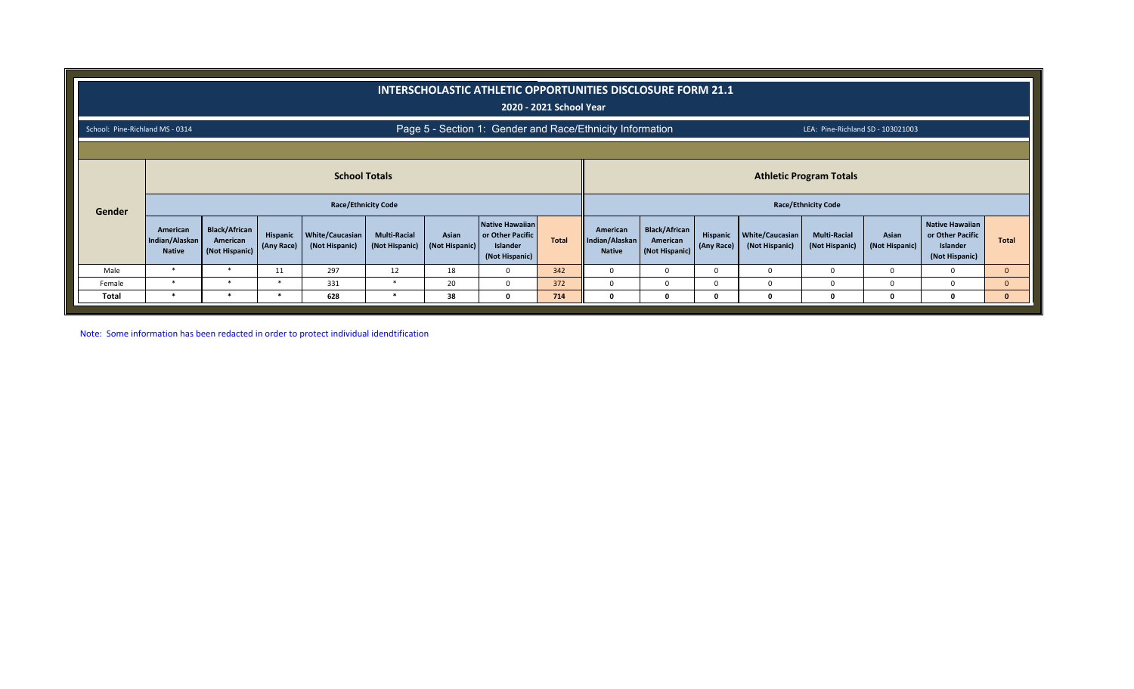|                                 |                                             |                                                                                                                    |                               |                                          |                                       |                         | INTERSCHOLASTIC ATHLETIC OPPORTUNITIES DISCLOSURE FORM 21.1                     | 2020 - 2021 School Year |                                             |                                                    |                        |                                   |                                       |                         |                                                                          |              |
|---------------------------------|---------------------------------------------|--------------------------------------------------------------------------------------------------------------------|-------------------------------|------------------------------------------|---------------------------------------|-------------------------|---------------------------------------------------------------------------------|-------------------------|---------------------------------------------|----------------------------------------------------|------------------------|-----------------------------------|---------------------------------------|-------------------------|--------------------------------------------------------------------------|--------------|
| School: Pine-Richland MS - 0314 |                                             |                                                                                                                    |                               |                                          |                                       |                         | Page 5 - Section 1: Gender and Race/Ethnicity Information                       |                         |                                             |                                                    |                        |                                   | LEA: Pine-Richland SD - 103021003     |                         |                                                                          |              |
|                                 |                                             |                                                                                                                    |                               |                                          |                                       |                         |                                                                                 |                         |                                             |                                                    |                        |                                   |                                       |                         |                                                                          |              |
|                                 |                                             | <b>School Totals</b><br><b>Athletic Program Totals</b><br><b>Race/Ethnicity Code</b><br><b>Race/Ethnicity Code</b> |                               |                                          |                                       |                         |                                                                                 |                         |                                             |                                                    |                        |                                   |                                       |                         |                                                                          |              |
| Gender                          |                                             |                                                                                                                    |                               |                                          |                                       |                         |                                                                                 |                         |                                             |                                                    |                        |                                   |                                       |                         |                                                                          |              |
|                                 | American<br>Indian/Alaskan<br><b>Native</b> | <b>Black/African</b><br>American<br>(Not Hispanic)                                                                 | <b>Hispanic</b><br>(Any Race) | <b>White/Caucasian</b><br>(Not Hispanic) | <b>Multi-Racial</b><br>(Not Hispanic) | Asian<br>(Not Hispanic) | <b>Native Hawaiian</b><br>or Other Pacific<br><b>Islander</b><br>(Not Hispanic) | Total                   | American<br>Indian/Alaskan<br><b>Native</b> | <b>Black/African</b><br>American<br>(Not Hispanic) | Hispanic<br>(Any Race) | White/Caucasian<br>(Not Hispanic) | <b>Multi-Racial</b><br>(Not Hispanic) | Asian<br>(Not Hispanic) | Native Hawaiian<br>or Other Pacific<br><b>Islander</b><br>(Not Hispanic) | <b>Total</b> |
| Male                            | $\ast$                                      | $\ast$                                                                                                             | 11                            | 297                                      | 12                                    | 18                      | <sup>0</sup>                                                                    | 342                     | $\Omega$                                    | 0                                                  | 0                      | $\Omega$                          |                                       |                         | 0                                                                        | $\mathbf{0}$ |
| Female                          | $\ast$                                      | $\ast$                                                                                                             | ∗                             | 331                                      | $\ast$                                | 20                      |                                                                                 | 372                     | $\Omega$                                    | $\Omega$                                           | 0                      | $\Omega$                          |                                       |                         |                                                                          | $\mathbf{0}$ |
| Total                           | $\ast$                                      | $\ast$                                                                                                             | *                             | 628                                      | $\ast$                                | 38                      |                                                                                 | 714                     |                                             | $\Omega$                                           |                        | $\Omega$                          |                                       |                         |                                                                          | $\mathbf{0}$ |

Note: Some information has been redacted in order to protect individual idendtification